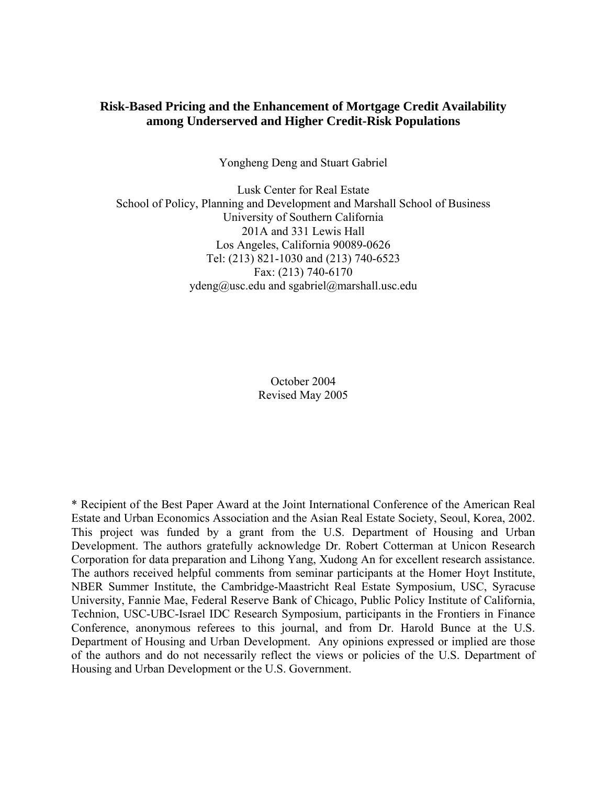## **Risk-Based Pricing and the Enhancement of Mortgage Credit Availability among Underserved and Higher Credit-Risk Populations**

Yongheng Deng and Stuart Gabriel

Lusk Center for Real Estate School of Policy, Planning and Development and Marshall School of Business University of Southern California 201A and 331 Lewis Hall Los Angeles, California 90089-0626 Tel: (213) 821-1030 and (213) 740-6523 Fax: (213) 740-6170 [ydeng@usc.edu](mailto:ydeng@usc.edu) and [sgabriel@marshall.usc.edu](mailto:sgabriel@marshall.usc.edu)

> October 2004 Revised May 2005

\* Recipient of the Best Paper Award at the Joint International Conference of the American Real Estate and Urban Economics Association and the Asian Real Estate Society, Seoul, Korea, 2002. This project was funded by a grant from the U.S. Department of Housing and Urban Development. The authors gratefully acknowledge Dr. Robert Cotterman at Unicon Research Corporation for data preparation and Lihong Yang, Xudong An for excellent research assistance. The authors received helpful comments from seminar participants at the Homer Hoyt Institute, NBER Summer Institute, the Cambridge-Maastricht Real Estate Symposium, USC, Syracuse University, Fannie Mae, Federal Reserve Bank of Chicago, Public Policy Institute of California, Technion, USC-UBC-Israel IDC Research Symposium, participants in the Frontiers in Finance Conference, anonymous referees to this journal, and from Dr. Harold Bunce at the U.S. Department of Housing and Urban Development. Any opinions expressed or implied are those of the authors and do not necessarily reflect the views or policies of the U.S. Department of Housing and Urban Development or the U.S. Government.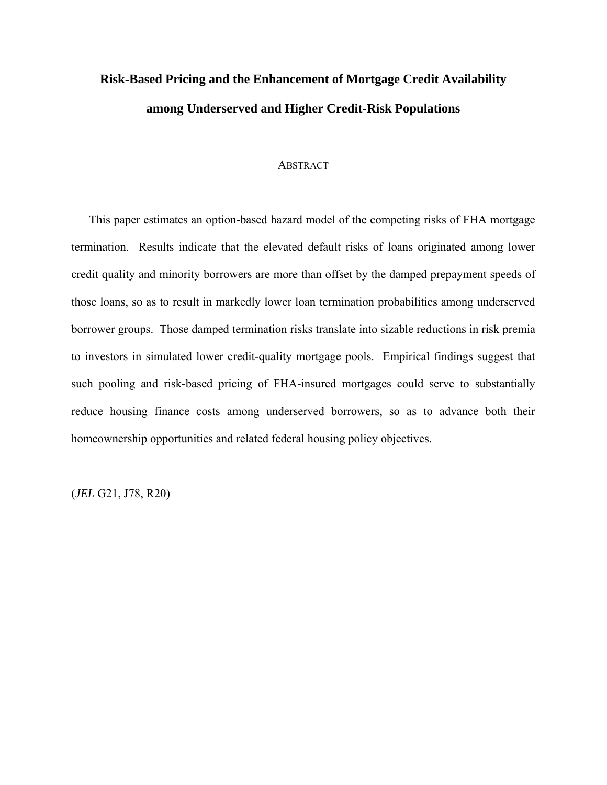# **Risk-Based Pricing and the Enhancement of Mortgage Credit Availability among Underserved and Higher Credit-Risk Populations**

#### **ABSTRACT**

This paper estimates an option-based hazard model of the competing risks of FHA mortgage termination. Results indicate that the elevated default risks of loans originated among lower credit quality and minority borrowers are more than offset by the damped prepayment speeds of those loans, so as to result in markedly lower loan termination probabilities among underserved borrower groups. Those damped termination risks translate into sizable reductions in risk premia to investors in simulated lower credit-quality mortgage pools. Empirical findings suggest that such pooling and risk-based pricing of FHA-insured mortgages could serve to substantially reduce housing finance costs among underserved borrowers, so as to advance both their homeownership opportunities and related federal housing policy objectives.

(*JEL* G21, J78, R20)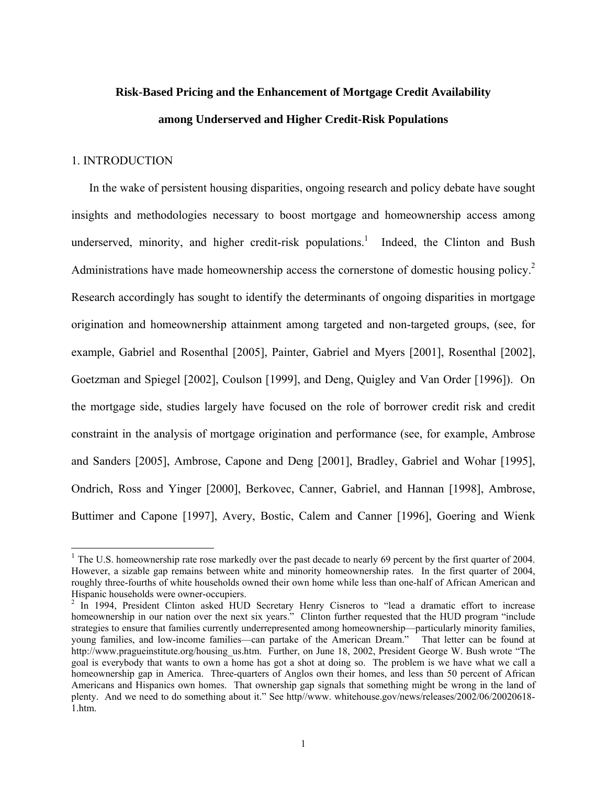# **Risk-Based Pricing and the Enhancement of Mortgage Credit Availability among Underserved and Higher Credit-Risk Populations**

#### 1. INTRODUCTION

In the wake of persistent housing disparities, ongoing research and policy debate have sought insights and methodologies necessary to boost mortgage and homeownership access among underserved, minority, and higher credit-risk populations.<sup>[1](#page-2-0)</sup> Indeed, the Clinton and Bush Administrations have made homeownership access the cornerstone of domestic housing policy.<sup>2</sup> Research accordingly has sought to identify the determinants of ongoing disparities in mortgage origination and homeownership attainment among targeted and non-targeted groups, (see, for example, Gabriel and Rosenthal [2005], Painter, Gabriel and Myers [2001], Rosenthal [2002], Goetzman and Spiegel [2002], Coulson [1999], and Deng, Quigley and Van Order [1996]). On the mortgage side, studies largely have focused on the role of borrower credit risk and credit constraint in the analysis of mortgage origination and performance (see, for example, Ambrose and Sanders [2005], Ambrose, Capone and Deng [2001], Bradley, Gabriel and Wohar [1995], Ondrich, Ross and Yinger [2000], Berkovec, Canner, Gabriel, and Hannan [1998], Ambrose, Buttimer and Capone [1997], Avery, Bostic, Calem and Canner [1996], Goering and Wienk

<span id="page-2-0"></span> $1$  The U.S. homeownership rate rose markedly over the past decade to nearly 69 percent by the first quarter of 2004. However, a sizable gap remains between white and minority homeownership rates. In the first quarter of 2004, roughly three-fourths of white households owned their own home while less than one-half of African American and Hispanic households were owner-occupiers. <sup>2</sup>

<span id="page-2-1"></span><sup>&</sup>lt;sup>2</sup> In 1994, President Clinton asked HUD Secretary Henry Cisneros to "lead a dramatic effort to increase homeownership in our nation over the next six years." Clinton further requested that the HUD program "include strategies to ensure that families currently underrepresented among homeownership—particularly minority families, young families, and low-income families—can partake of the American Dream." That letter can be found at http://www.pragueinstitute.org/housing\_us.htm. Further, on June 18, 2002, President George W. Bush wrote "The goal is everybody that wants to own a home has got a shot at doing so. The problem is we have what we call a homeownership gap in America. Three-quarters of Anglos own their homes, and less than 50 percent of African Americans and Hispanics own homes. That ownership gap signals that something might be wrong in the land of plenty. And we need to do something about it." See http//www. whitehouse.gov/news/releases/2002/06/20020618- 1.htm.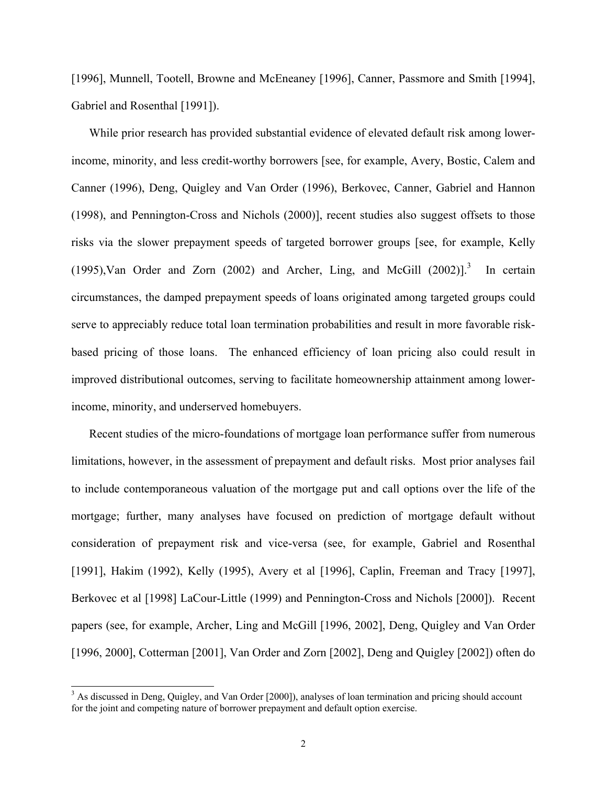[1996], Munnell, Tootell, Browne and McEneaney [1996], Canner, Passmore and Smith [1994], Gabriel and Rosenthal [1991]).

While prior research has provided substantial evidence of elevated default risk among lowerincome, minority, and less credit-worthy borrowers [see, for example, Avery, Bostic, Calem and Canner (1996), Deng, Quigley and Van Order (1996), Berkovec, Canner, Gabriel and Hannon (1998), and Pennington-Cross and Nichols (2000)], recent studies also suggest offsets to those risks via the slower prepayment speeds of targeted borrower groups [see, for example, Kelly (1995), Van Order and Zorn (2002) and Archer, Ling, and McGill  $(2002)$ <sup>[3](#page-3-0)</sup> In certain circumstances, the damped prepayment speeds of loans originated among targeted groups could serve to appreciably reduce total loan termination probabilities and result in more favorable riskbased pricing of those loans. The enhanced efficiency of loan pricing also could result in improved distributional outcomes, serving to facilitate homeownership attainment among lowerincome, minority, and underserved homebuyers.

Recent studies of the micro-foundations of mortgage loan performance suffer from numerous limitations, however, in the assessment of prepayment and default risks. Most prior analyses fail to include contemporaneous valuation of the mortgage put and call options over the life of the mortgage; further, many analyses have focused on prediction of mortgage default without consideration of prepayment risk and vice-versa (see, for example, Gabriel and Rosenthal [1991], Hakim (1992), Kelly (1995), Avery et al [1996], Caplin, Freeman and Tracy [1997], Berkovec et al [1998] LaCour-Little (1999) and Pennington-Cross and Nichols [2000]). Recent papers (see, for example, Archer, Ling and McGill [1996, 2002], Deng, Quigley and Van Order [1996, 2000], Cotterman [2001], Van Order and Zorn [2002], Deng and Quigley [2002]) often do

<span id="page-3-0"></span> <sup>3</sup> <sup>3</sup> As discussed in Deng, Quigley, and Van Order [2000]), analyses of loan termination and pricing should account for the joint and competing nature of borrower prepayment and default option exercise.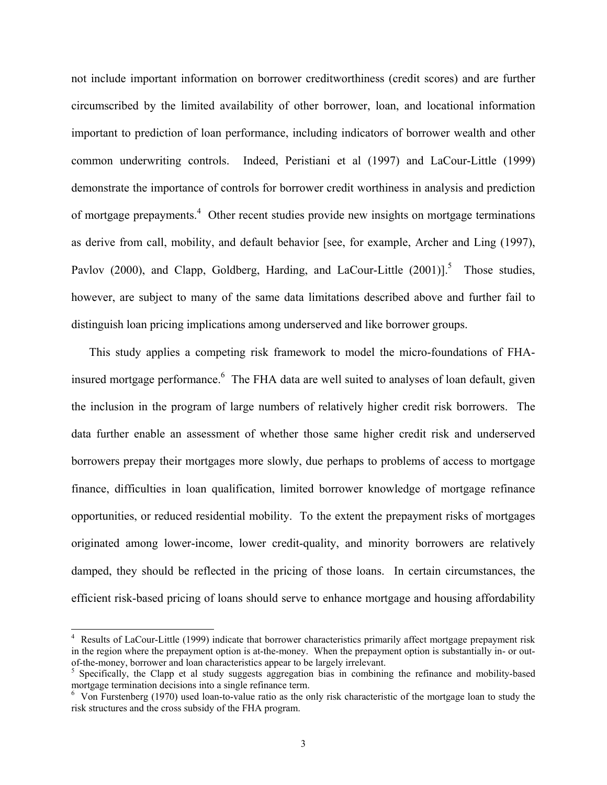not include important information on borrower creditworthiness (credit scores) and are further circumscribed by the limited availability of other borrower, loan, and locational information important to prediction of loan performance, including indicators of borrower wealth and other common underwriting controls. Indeed, Peristiani et al (1997) and LaCour-Little (1999) demonstrate the importance of controls for borrower credit worthiness in analysis and prediction of mortgage prepayments.<sup>[4](#page-4-0)</sup> Other recent studies provide new insights on mortgage terminations as derive from call, mobility, and default behavior [see, for example, Archer and Ling (1997), Pavlov (2000), and Clapp, Goldberg, Harding, and LaCour-Little  $(2001)$ <sup>[5](#page-4-1)</sup> Those studies, however, are subject to many of the same data limitations described above and further fail to distinguish loan pricing implications among underserved and like borrower groups.

This study applies a competing risk framework to model the micro-foundations of FHA-insured mortgage performance.<sup>[6](#page-4-2)</sup> The FHA data are well suited to analyses of loan default, given the inclusion in the program of large numbers of relatively higher credit risk borrowers. The data further enable an assessment of whether those same higher credit risk and underserved borrowers prepay their mortgages more slowly, due perhaps to problems of access to mortgage finance, difficulties in loan qualification, limited borrower knowledge of mortgage refinance opportunities, or reduced residential mobility. To the extent the prepayment risks of mortgages originated among lower-income, lower credit-quality, and minority borrowers are relatively damped, they should be reflected in the pricing of those loans. In certain circumstances, the efficient risk-based pricing of loans should serve to enhance mortgage and housing affordability

<span id="page-4-0"></span> $\frac{1}{4}$ <sup>4</sup> Results of LaCour-Little (1999) indicate that borrower characteristics primarily affect mortgage prepayment risk in the region where the prepayment option is at-the-money. When the prepayment option is substantially in- or outof-the-money, borrower and loan characteristics appear to be largely irrelevant. 5

<span id="page-4-1"></span><sup>&</sup>lt;sup>5</sup> Specifically, the Clapp et al study suggests aggregation bias in combining the refinance and mobility-based mortgage termination decisions into a single refinance term. 6

<span id="page-4-2"></span><sup>&</sup>lt;sup>6</sup> Von Furstenberg (1970) used loan-to-value ratio as the only risk characteristic of the mortgage loan to study the risk structures and the cross subsidy of the FHA program.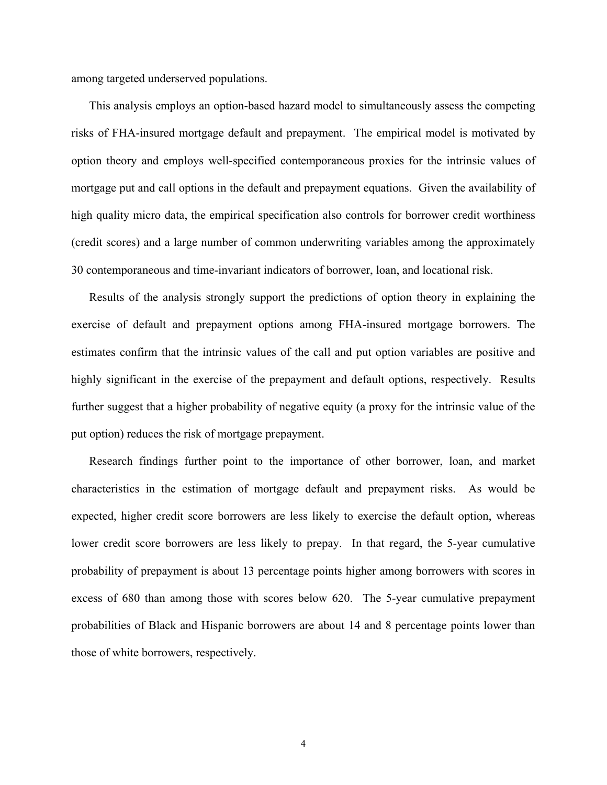among targeted underserved populations.

This analysis employs an option-based hazard model to simultaneously assess the competing risks of FHA-insured mortgage default and prepayment. The empirical model is motivated by option theory and employs well-specified contemporaneous proxies for the intrinsic values of mortgage put and call options in the default and prepayment equations. Given the availability of high quality micro data, the empirical specification also controls for borrower credit worthiness (credit scores) and a large number of common underwriting variables among the approximately 30 contemporaneous and time-invariant indicators of borrower, loan, and locational risk.

Results of the analysis strongly support the predictions of option theory in explaining the exercise of default and prepayment options among FHA-insured mortgage borrowers. The estimates confirm that the intrinsic values of the call and put option variables are positive and highly significant in the exercise of the prepayment and default options, respectively. Results further suggest that a higher probability of negative equity (a proxy for the intrinsic value of the put option) reduces the risk of mortgage prepayment.

Research findings further point to the importance of other borrower, loan, and market characteristics in the estimation of mortgage default and prepayment risks. As would be expected, higher credit score borrowers are less likely to exercise the default option, whereas lower credit score borrowers are less likely to prepay. In that regard, the 5-year cumulative probability of prepayment is about 13 percentage points higher among borrowers with scores in excess of 680 than among those with scores below 620. The 5-year cumulative prepayment probabilities of Black and Hispanic borrowers are about 14 and 8 percentage points lower than those of white borrowers, respectively.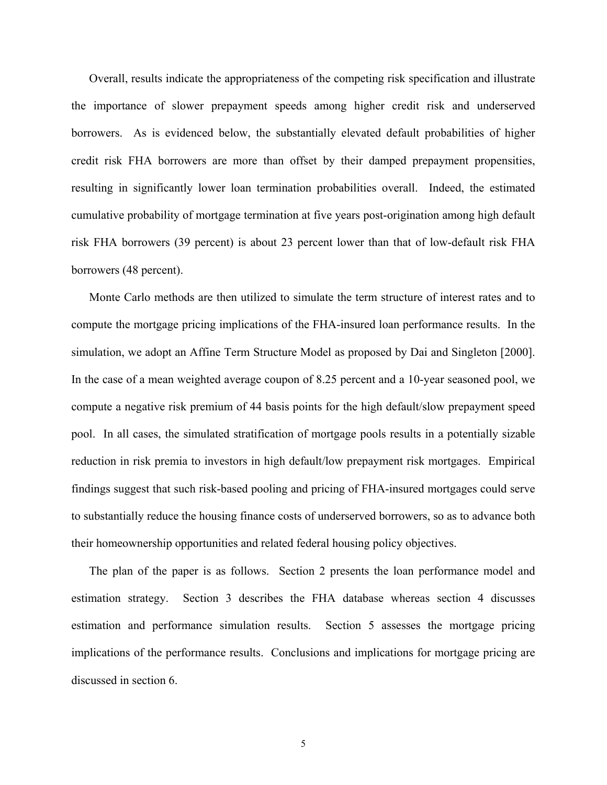Overall, results indicate the appropriateness of the competing risk specification and illustrate the importance of slower prepayment speeds among higher credit risk and underserved borrowers. As is evidenced below, the substantially elevated default probabilities of higher credit risk FHA borrowers are more than offset by their damped prepayment propensities, resulting in significantly lower loan termination probabilities overall. Indeed, the estimated cumulative probability of mortgage termination at five years post-origination among high default risk FHA borrowers (39 percent) is about 23 percent lower than that of low-default risk FHA borrowers (48 percent).

Monte Carlo methods are then utilized to simulate the term structure of interest rates and to compute the mortgage pricing implications of the FHA-insured loan performance results. In the simulation, we adopt an Affine Term Structure Model as proposed by Dai and Singleton [2000]. In the case of a mean weighted average coupon of 8.25 percent and a 10-year seasoned pool, we compute a negative risk premium of 44 basis points for the high default/slow prepayment speed pool. In all cases, the simulated stratification of mortgage pools results in a potentially sizable reduction in risk premia to investors in high default/low prepayment risk mortgages. Empirical findings suggest that such risk-based pooling and pricing of FHA-insured mortgages could serve to substantially reduce the housing finance costs of underserved borrowers, so as to advance both their homeownership opportunities and related federal housing policy objectives.

The plan of the paper is as follows. Section 2 presents the loan performance model and estimation strategy. Section 3 describes the FHA database whereas section 4 discusses estimation and performance simulation results. Section 5 assesses the mortgage pricing implications of the performance results. Conclusions and implications for mortgage pricing are discussed in section 6.

5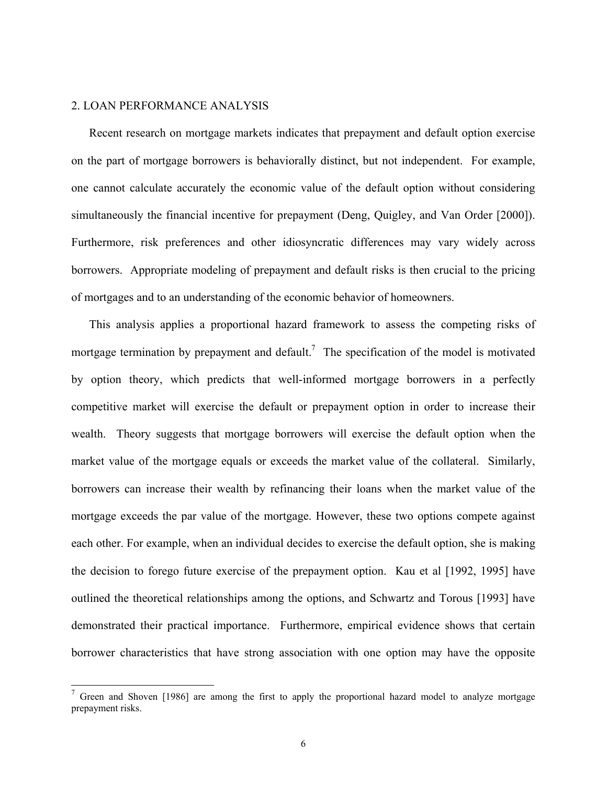### 2. LOAN PERFORMANCE ANALYSIS

Recent research on mortgage markets indicates that prepayment and default option exercise on the part of mortgage borrowers is behaviorally distinct, but not independent. For example, one cannot calculate accurately the economic value of the default option without considering simultaneously the financial incentive for prepayment (Deng, Quigley, and Van Order [2000]). Furthermore, risk preferences and other idiosyncratic differences may vary widely across borrowers. Appropriate modeling of prepayment and default risks is then crucial to the pricing of mortgages and to an understanding of the economic behavior of homeowners.

This analysis applies a proportional hazard framework to assess the competing risks of mortgage termination by prepayment and default.<sup>7</sup> The specification of the model is motivated by option theory, which predicts that well-informed mortgage borrowers in a perfectly competitive market will exercise the default or prepayment option in order to increase their wealth. Theory suggests that mortgage borrowers will exercise the default option when the market value of the mortgage equals or exceeds the market value of the collateral. Similarly, borrowers can increase their wealth by refinancing their loans when the market value of the mortgage exceeds the par value of the mortgage. However, these two options compete against each other. For example, when an individual decides to exercise the default option, she is making the decision to forego future exercise of the prepayment option. Kau et al [1992, 1995] have outlined the theoretical relationships among the options, and Schwartz and Torous [1993] have demonstrated their practical importance. Furthermore, empirical evidence shows that certain borrower characteristics that have strong association with one option may have the opposite

<span id="page-7-0"></span> $7$  Green and Shoven [1986] are among the first to apply the proportional hazard model to analyze mortgage prepayment risks.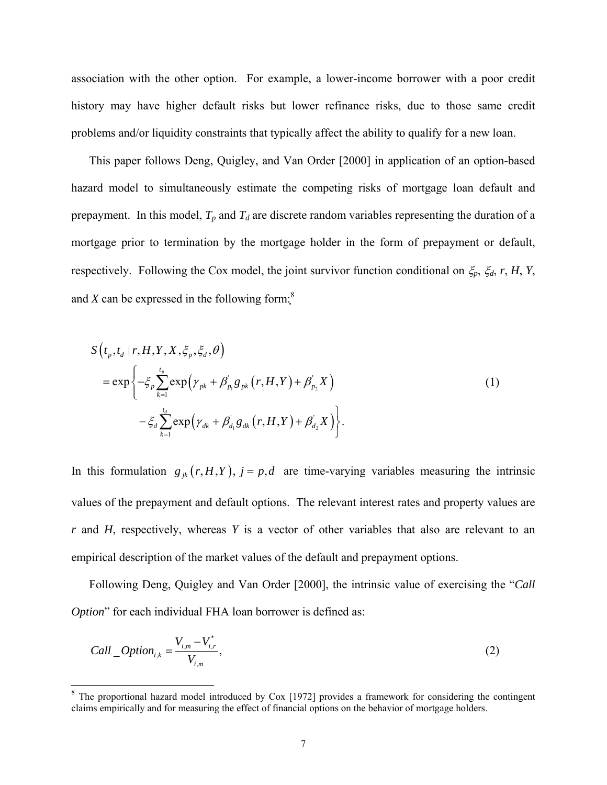association with the other option. For example, a lower-income borrower with a poor credit history may have higher default risks but lower refinance risks, due to those same credit problems and/or liquidity constraints that typically affect the ability to qualify for a new loan.

This paper follows Deng, Quigley, and Van Order [2000] in application of an option-based hazard model to simultaneously estimate the competing risks of mortgage loan default and prepayment. In this model,  $T_p$  and  $T_d$  are discrete random variables representing the duration of a mortgage prior to termination by the mortgage holder in the form of prepayment or default, respectively. Following the Cox model, the joint survivor function conditional on ξ*p*, ξ*d*, *r*, *H*, *Y*, and *X* can be expressed in the following form: $^8$  $^8$ 

$$
S(t_{p}, t_{d} | r, H, Y, X, \xi_{p}, \xi_{d}, \theta)
$$
  
=  $\exp \left\{-\xi_{p} \sum_{k=1}^{t_{p}} \exp \left(\gamma_{pk} + \beta_{p_{1}}^{i} g_{pk}(r, H, Y) + \beta_{p_{2}}^{i} X\right)\right\}$   

$$
-\xi_{d} \sum_{k=1}^{t_{d}} \exp \left(\gamma_{dk} + \beta_{d_{1}}^{i} g_{dk}(r, H, Y) + \beta_{d_{2}}^{i} X\right)\right\}.
$$
 (1)

In this formulation  $g_{jk}(r, H, Y)$ ,  $j = p, d$  are time-varying variables measuring the intrinsic values of the prepayment and default options. The relevant interest rates and property values are *r* and *H*, respectively, whereas *Y* is a vector of other variables that also are relevant to an empirical description of the market values of the default and prepayment options.

Following Deng, Quigley and Van Order [2000], the intrinsic value of exercising the "*Call Option*" for each individual FHA loan borrower is defined as:

$$
Call\_Option_{i,k} = \frac{V_{i,m} - V_{i,r}^*}{V_{i,m}},
$$
\n(2)

 $\overline{a}$ 

<span id="page-8-0"></span><sup>&</sup>lt;sup>8</sup> The proportional hazard model introduced by Cox [1972] provides a framework for considering the contingent claims empirically and for measuring the effect of financial options on the behavior of mortgage holders.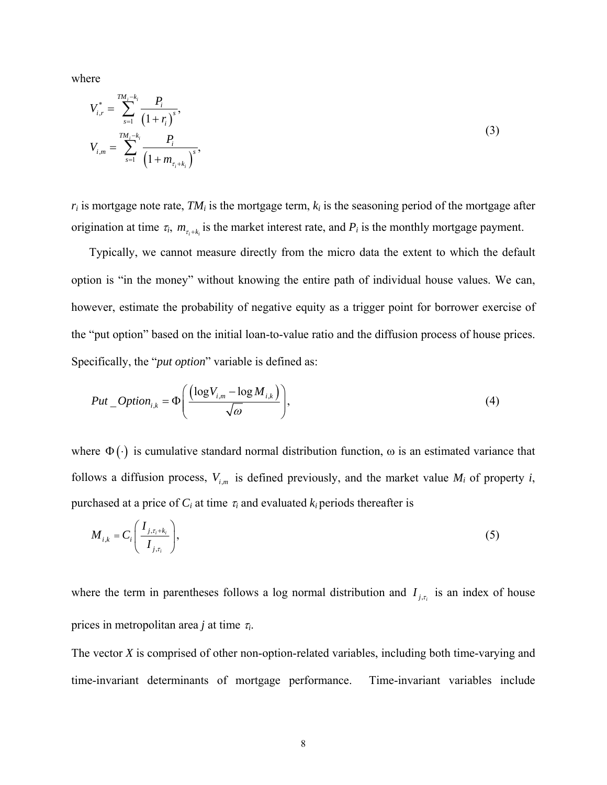where

$$
V_{i,r}^{*} = \sum_{s=1}^{TM_{i}-k_{i}} \frac{P_{i}}{(1+r_{i})^{s}},
$$
  
\n
$$
V_{i,m} = \sum_{s=1}^{TM_{i}-k_{i}} \frac{P_{i}}{(1+m_{\tau_{i}+k_{i}})^{s}},
$$
\n(3)

 $r_i$  is mortgage note rate,  $TM_i$  is the mortgage term,  $k_i$  is the seasoning period of the mortgage after origination at time  $\tau_i$ ,  $m_{\tau_i+k}$  is the market interest rate, and  $P_i$  is the monthly mortgage payment.

Typically, we cannot measure directly from the micro data the extent to which the default option is "in the money" without knowing the entire path of individual house values. We can, however, estimate the probability of negative equity as a trigger point for borrower exercise of the "put option" based on the initial loan-to-value ratio and the diffusion process of house prices. Specifically, the "*put option*" variable is defined as:

$$
Put\_Option_{i,k} = \Phi\left(\frac{(\log V_{i,m} - \log M_{i,k})}{\sqrt{\omega}}\right),\tag{4}
$$

where  $\Phi(\cdot)$  is cumulative standard normal distribution function,  $\omega$  is an estimated variance that follows a diffusion process,  $V_{i,m}$  is defined previously, and the market value  $M_i$  of property *i*, purchased at a price of  $C_i$  at time  $\tau_i$  and evaluated  $k_i$  periods thereafter is

$$
M_{i,k} = C_i \left( \frac{I_{j,\tau_i+k_i}}{I_{j,\tau_i}} \right),\tag{5}
$$

where the term in parentheses follows a log normal distribution and  $I_{j,\tau_i}$  is an index of house prices in metropolitan area *j* at time <sup>τ</sup>*i*.

The vector *X* is comprised of other non-option-related variables, including both time-varying and time-invariant determinants of mortgage performance. Time-invariant variables include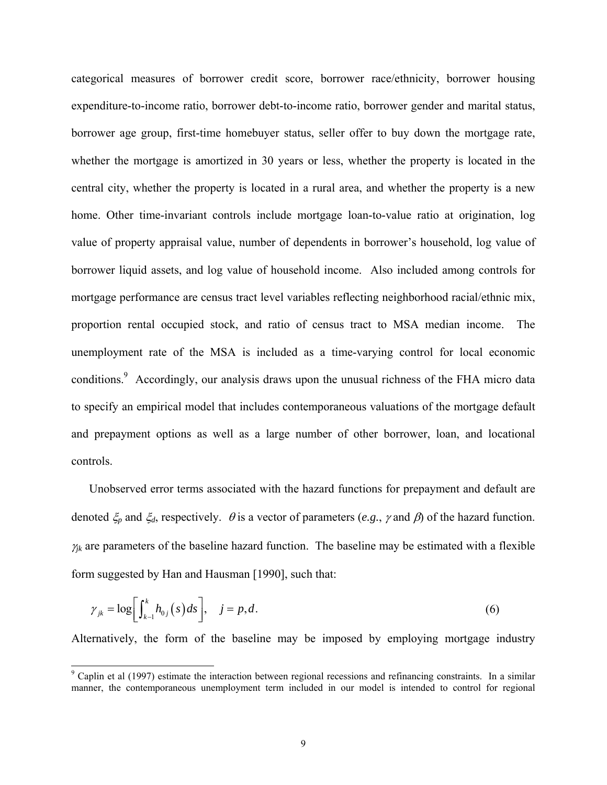categorical measures of borrower credit score, borrower race/ethnicity, borrower housing expenditure-to-income ratio, borrower debt-to-income ratio, borrower gender and marital status, borrower age group, first-time homebuyer status, seller offer to buy down the mortgage rate, whether the mortgage is amortized in 30 years or less, whether the property is located in the central city, whether the property is located in a rural area, and whether the property is a new home. Other time-invariant controls include mortgage loan-to-value ratio at origination, log value of property appraisal value, number of dependents in borrower's household, log value of borrower liquid assets, and log value of household income. Also included among controls for mortgage performance are census tract level variables reflecting neighborhood racial/ethnic mix, proportion rental occupied stock, and ratio of census tract to MSA median income. The unemployment rate of the MSA is included as a time-varying control for local economic conditions.<sup>9</sup> Accordingly, our analysis draws upon the unusual richness of the FHA micro data to specify an empirical model that includes contemporaneous valuations of the mortgage default and prepayment options as well as a large number of other borrower, loan, and locational controls.

Unobserved error terms associated with the hazard functions for prepayment and default are denoted ξ*p* and ξ*d*, respectively. θ is a vector of parameters (*e.g.*, <sup>γ</sup> and β) of the hazard function.  $\gamma_{ik}$  are parameters of the baseline hazard function. The baseline may be estimated with a flexible form suggested by Han and Hausman [1990], such that:

$$
\gamma_{jk} = \log \left[ \int_{k-1}^{k} h_{0j}(s) ds \right], \quad j = p, d. \tag{6}
$$

 $\overline{a}$ 

Alternatively, the form of the baseline may be imposed by employing mortgage industry

<span id="page-10-0"></span><sup>&</sup>lt;sup>9</sup> Caplin et al (1997) estimate the interaction between regional recessions and refinancing constraints. In a similar manner, the contemporaneous unemployment term included in our model is intended to control for regional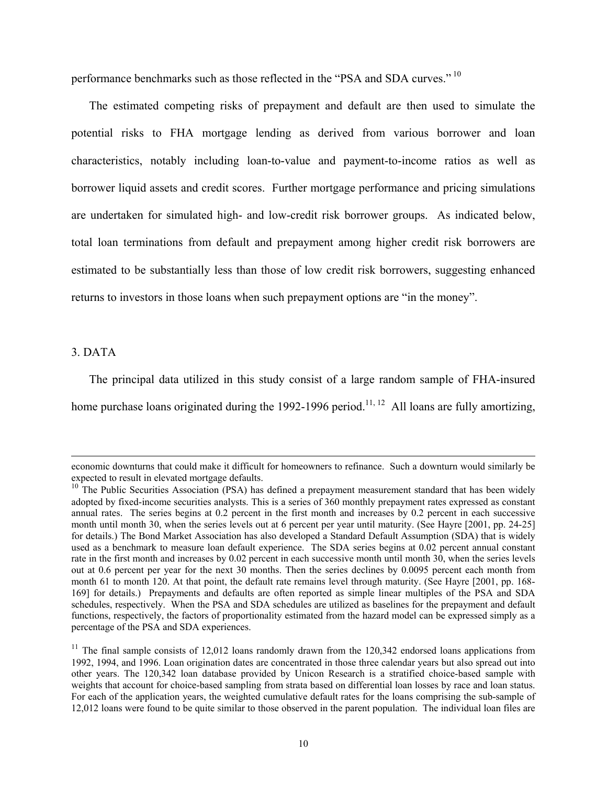performance benchmarks such as those reflected in the "PSA and SDA curves." [10](#page-11-0) 

The estimated competing risks of prepayment and default are then used to simulate the potential risks to FHA mortgage lending as derived from various borrower and loan characteristics, notably including loan-to-value and payment-to-income ratios as well as borrower liquid assets and credit scores. Further mortgage performance and pricing simulations are undertaken for simulated high- and low-credit risk borrower groups. As indicated below, total loan terminations from default and prepayment among higher credit risk borrowers are estimated to be substantially less than those of low credit risk borrowers, suggesting enhanced returns to investors in those loans when such prepayment options are "in the money".

#### 3. DATA

 $\overline{a}$ 

The principal data utilized in this study consist of a large random sample of FHA-insured home purchase loans originated during the 1992-1996 period.<sup>[11,](#page-11-1) 12</sup> All loans are fully amortizing,

economic downturns that could make it difficult for homeowners to refinance. Such a downturn would similarly be expected to result in elevated mortgage defaults.

<span id="page-11-0"></span><sup>&</sup>lt;sup>10</sup> The Public Securities Association (PSA) has defined a prepayment measurement standard that has been widely adopted by fixed-income securities analysts. This is a series of 360 monthly prepayment rates expressed as constant annual rates. The series begins at 0.2 percent in the first month and increases by 0.2 percent in each successive month until month 30, when the series levels out at 6 percent per year until maturity. (See Hayre [2001, pp. 24-25] for details.) The Bond Market Association has also developed a Standard Default Assumption (SDA) that is widely used as a benchmark to measure loan default experience. The SDA series begins at 0.02 percent annual constant rate in the first month and increases by 0.02 percent in each successive month until month 30, when the series levels out at 0.6 percent per year for the next 30 months. Then the series declines by 0.0095 percent each month from month 61 to month 120. At that point, the default rate remains level through maturity. (See Hayre [2001, pp. 168-169] for details.) Prepayments and defaults are often reported as simple linear multiples of the PSA and SDA schedules, respectively. When the PSA and SDA schedules are utilized as baselines for the prepayment and default functions, respectively, the factors of proportionality estimated from the hazard model can be expressed simply as a percentage of the PSA and SDA experiences.

<span id="page-11-2"></span><span id="page-11-1"></span><sup>&</sup>lt;sup>11</sup> The final sample consists of 12,012 loans randomly drawn from the 120,342 endorsed loans applications from 1992, 1994, and 1996. Loan origination dates are concentrated in those three calendar years but also spread out into other years. The 120,342 loan database provided by Unicon Research is a stratified choice-based sample with weights that account for choice-based sampling from strata based on differential loan losses by race and loan status. For each of the application years, the weighted cumulative default rates for the loans comprising the sub-sample of 12,012 loans were found to be quite similar to those observed in the parent population. The individual loan files are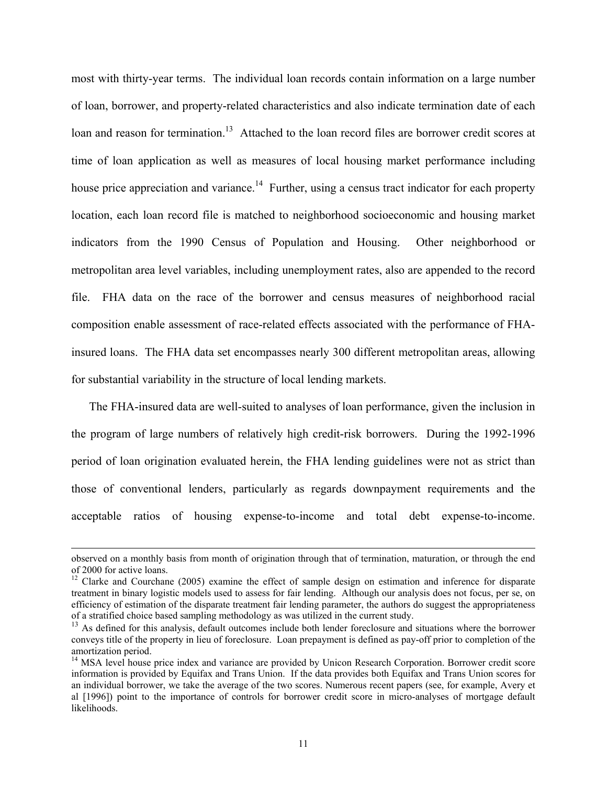most with thirty-year terms.The individual loan records contain information on a large number of loan, borrower, and property-related characteristics and also indicate termination date of each loan and reason for termination.<sup>13</sup> Attached to the loan record files are borrower credit scores at time of loan application as well as measures of local housing market performance including house price appreciation and variance.<sup>14</sup> Further, using a census tract indicator for each property location, each loan record file is matched to neighborhood socioeconomic and housing market indicators from the 1990 Census of Population and Housing. Other neighborhood or metropolitan area level variables, including unemployment rates, also are appended to the record file. FHA data on the race of the borrower and census measures of neighborhood racial composition enable assessment of race-related effects associated with the performance of FHAinsured loans. The FHA data set encompasses nearly 300 different metropolitan areas, allowing for substantial variability in the structure of local lending markets.

The FHA-insured data are well-suited to analyses of loan performance, given the inclusion in the program of large numbers of relatively high credit-risk borrowers. During the 1992-1996 period of loan origination evaluated herein, the FHA lending guidelines were not as strict than those of conventional lenders, particularly as regards downpayment requirements and the acceptable ratios of housing expense-to-income and total debt expense-to-income.

 $\overline{a}$ 

observed on a monthly basis from month of origination through that of termination, maturation, or through the end of 2000 for active loans.<br><sup>12</sup> Clarke and Courchane (2005) examine the effect of sample design on estimation and inference for disparate

treatment in binary logistic models used to assess for fair lending. Although our analysis does not focus, per se, on efficiency of estimation of the disparate treatment fair lending parameter, the authors do suggest the appropriateness of a stratified choice based sampling methodology as was utilized in the current study.

<span id="page-12-0"></span> $13$  As defined for this analysis, default outcomes include both lender foreclosure and situations where the borrower conveys title of the property in lieu of foreclosure.Loan prepayment is defined as pay-off prior to completion of the

<span id="page-12-1"></span><sup>&</sup>lt;sup>14</sup> MSA level house price index and variance are provided by Unicon Research Corporation. Borrower credit score information is provided by Equifax and Trans Union. If the data provides both Equifax and Trans Union scores for an individual borrower, we take the average of the two scores. Numerous recent papers (see, for example, Avery et al [1996]) point to the importance of controls for borrower credit score in micro-analyses of mortgage default likelihoods.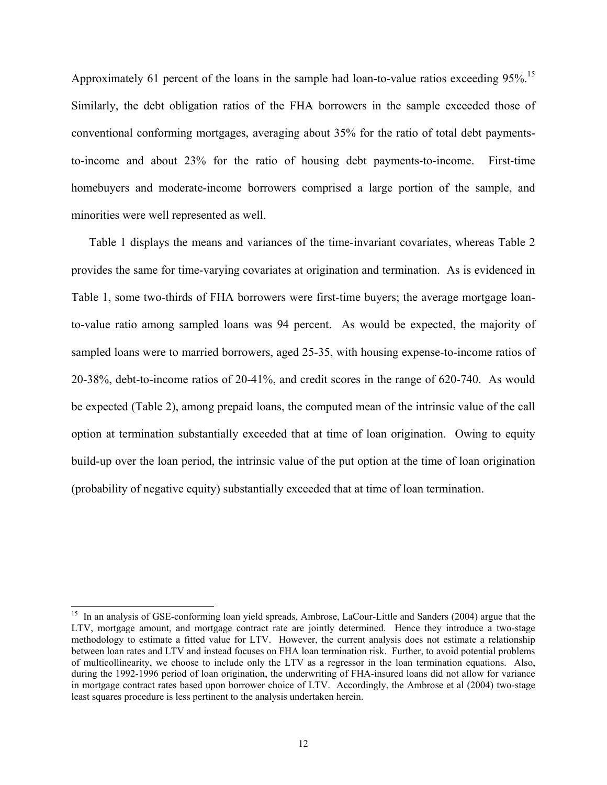Approximately 61 percent of the loans in the sample had loan-to-value ratios exceeding 95%.<sup>15</sup> Similarly, the debt obligation ratios of the FHA borrowers in the sample exceeded those of conventional conforming mortgages, averaging about 35% for the ratio of total debt paymentsto-income and about 23% for the ratio of housing debt payments-to-income. First-time homebuyers and moderate-income borrowers comprised a large portion of the sample, and minorities were well represented as well.

Table 1 displays the means and variances of the time-invariant covariates, whereas Table 2 provides the same for time-varying covariates at origination and termination. As is evidenced in Table 1, some two-thirds of FHA borrowers were first-time buyers; the average mortgage loanto-value ratio among sampled loans was 94 percent. As would be expected, the majority of sampled loans were to married borrowers, aged 25-35, with housing expense-to-income ratios of 20-38%, debt-to-income ratios of 20-41%, and credit scores in the range of 620-740. As would be expected (Table 2), among prepaid loans, the computed mean of the intrinsic value of the call option at termination substantially exceeded that at time of loan origination. Owing to equity build-up over the loan period, the intrinsic value of the put option at the time of loan origination (probability of negative equity) substantially exceeded that at time of loan termination.

<span id="page-13-0"></span><sup>&</sup>lt;sup>15</sup> In an analysis of GSE-conforming loan yield spreads, Ambrose, LaCour-Little and Sanders (2004) argue that the LTV, mortgage amount, and mortgage contract rate are jointly determined. Hence they introduce a two-stage methodology to estimate a fitted value for LTV. However, the current analysis does not estimate a relationship between loan rates and LTV and instead focuses on FHA loan termination risk. Further, to avoid potential problems of multicollinearity, we choose to include only the LTV as a regressor in the loan termination equations. Also, during the 1992-1996 period of loan origination, the underwriting of FHA-insured loans did not allow for variance in mortgage contract rates based upon borrower choice of LTV. Accordingly, the Ambrose et al (2004) two-stage least squares procedure is less pertinent to the analysis undertaken herein.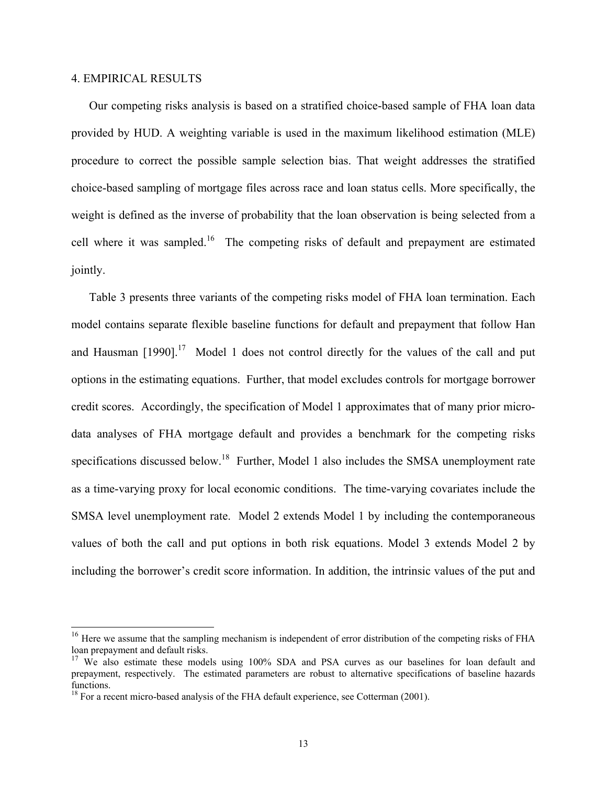#### 4. EMPIRICAL RESULTS

Our competing risks analysis is based on a stratified choice-based sample of FHA loan data provided by HUD. A weighting variable is used in the maximum likelihood estimation (MLE) procedure to correct the possible sample selection bias. That weight addresses the stratified choice-based sampling of mortgage files across race and loan status cells. More specifically, the weight is defined as the inverse of probability that the loan observation is being selected from a cell where it was sampled.<sup>16</sup> The competing risks of default and prepayment are estimated jointly.

Table 3 presents three variants of the competing risks model of FHA loan termination. Each model contains separate flexible baseline functions for default and prepayment that follow Han and Hausman  $[1990]$ <sup>[17](#page-14-1)</sup> Model 1 does not control directly for the values of the call and put options in the estimating equations. Further, that model excludes controls for mortgage borrower credit scores. Accordingly, the specification of Model 1 approximates that of many prior microdata analyses of FHA mortgage default and provides a benchmark for the competing risks specifications discussed below.<sup>18</sup> Further, Model 1 also includes the SMSA unemployment rate as a time-varying proxy for local economic conditions. The time-varying covariates include the SMSA level unemployment rate. Model 2 extends Model 1 by including the contemporaneous values of both the call and put options in both risk equations. Model 3 extends Model 2 by including the borrower's credit score information. In addition, the intrinsic values of the put and

<span id="page-14-0"></span><sup>&</sup>lt;sup>16</sup> Here we assume that the sampling mechanism is independent of error distribution of the competing risks of FHA loan prepayment and default risks.

<span id="page-14-1"></span><sup>&</sup>lt;sup>17</sup> We also estimate these models using 100% SDA and PSA curves as our baselines for loan default and prepayment, respectively. The estimated parameters are robust to alternative specifications of baseline hazards functions.<br><sup>18</sup> For a recent micro-based analysis of the FHA default experience, see Cotterman (2001).

<span id="page-14-2"></span>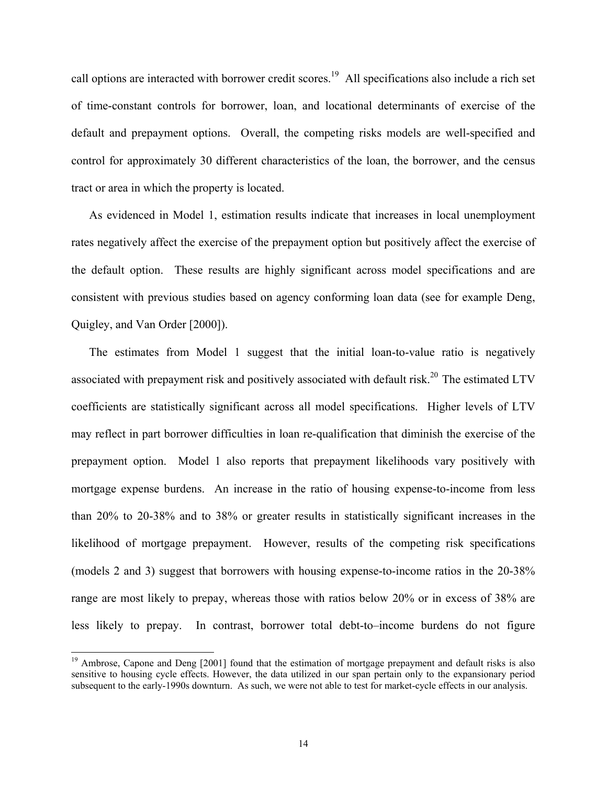call options are interacted with borrower credit scores.<sup>19</sup> All specifications also include a rich set of time-constant controls for borrower, loan, and locational determinants of exercise of the default and prepayment options. Overall, the competing risks models are well-specified and control for approximately 30 different characteristics of the loan, the borrower, and the census tract or area in which the property is located.

As evidenced in Model 1, estimation results indicate that increases in local unemployment rates negatively affect the exercise of the prepayment option but positively affect the exercise of the default option. These results are highly significant across model specifications and are consistent with previous studies based on agency conforming loan data (see for example Deng, Quigley, and Van Order [2000]).

The estimates from Model 1 suggest that the initial loan-to-value ratio is negatively associated with prepayment risk and positively associated with default risk.<sup>20</sup> The estimated LTV coefficients are statistically significant across all model specifications. Higher levels of LTV may reflect in part borrower difficulties in loan re-qualification that diminish the exercise of the prepayment option. Model 1 also reports that prepayment likelihoods vary positively with mortgage expense burdens. An increase in the ratio of housing expense-to-income from less than 20% to 20-38% and to 38% or greater results in statistically significant increases in the likelihood of mortgage prepayment. However, results of the competing risk specifications (models 2 and 3) suggest that borrowers with housing expense-to-income ratios in the 20-38% range are most likely to prepay, whereas those with ratios below 20% or in excess of 38% are less likely to prepay. In contrast, borrower total debt-to–income burdens do not figure

<span id="page-15-1"></span><span id="page-15-0"></span><sup>&</sup>lt;sup>19</sup> Ambrose, Capone and Deng [2001] found that the estimation of mortgage prepayment and default risks is also sensitive to housing cycle effects. However, the data utilized in our span pertain only to the expansionary period subsequent to the early-1990s downturn. As such, we were not able to test for market-cycle effects in our analysis.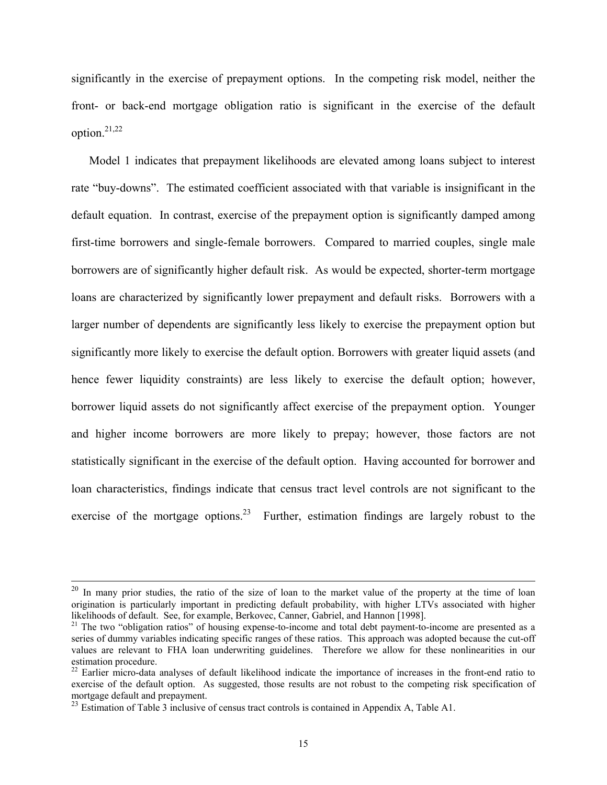significantly in the exercise of prepayment options. In the competing risk model, neither the front- or back-end mortgage obligation ratio is significant in the exercise of the default option.[21,](#page-16-0)[22](#page-16-1) 

Model 1 indicates that prepayment likelihoods are elevated among loans subject to interest rate "buy-downs". The estimated coefficient associated with that variable is insignificant in the default equation. In contrast, exercise of the prepayment option is significantly damped among first-time borrowers and single-female borrowers. Compared to married couples, single male borrowers are of significantly higher default risk. As would be expected, shorter-term mortgage loans are characterized by significantly lower prepayment and default risks. Borrowers with a larger number of dependents are significantly less likely to exercise the prepayment option but significantly more likely to exercise the default option. Borrowers with greater liquid assets (and hence fewer liquidity constraints) are less likely to exercise the default option; however, borrower liquid assets do not significantly affect exercise of the prepayment option. Younger and higher income borrowers are more likely to prepay; however, those factors are not statistically significant in the exercise of the default option. Having accounted for borrower and loan characteristics, findings indicate that census tract level controls are not significant to the exercise of the mortgage options.<sup>23</sup> Further, estimation findings are largely robust to the

<sup>&</sup>lt;sup>20</sup> In many prior studies, the ratio of the size of loan to the market value of the property at the time of loan origination is particularly important in predicting default probability, with higher LTVs associated with higher likelihoods of default. See, for example, Berkovec, Canner, Gabriel, and Hannon [1998].<br><sup>21</sup> The two "obligation ratios" of housing expense-to-income and total debt payment-to-income are presented as a

<span id="page-16-0"></span>series of dummy variables indicating specific ranges of these ratios. This approach was adopted because the cut-off values are relevant to FHA loan underwriting guidelines. Therefore we allow for these nonlinearities in our estimation procedure.<br><sup>22</sup> Earlier micro-data analyses of default likelihood indicate the importance of increases in the front-end ratio to

<span id="page-16-1"></span>exercise of the default option. As suggested, those results are not robust to the competing risk specification of mortgage default and prepayment.<br><sup>23</sup> Estimation of Table 3 inclusive of census tract controls is contained in Appendix A, Table A1.

<span id="page-16-2"></span>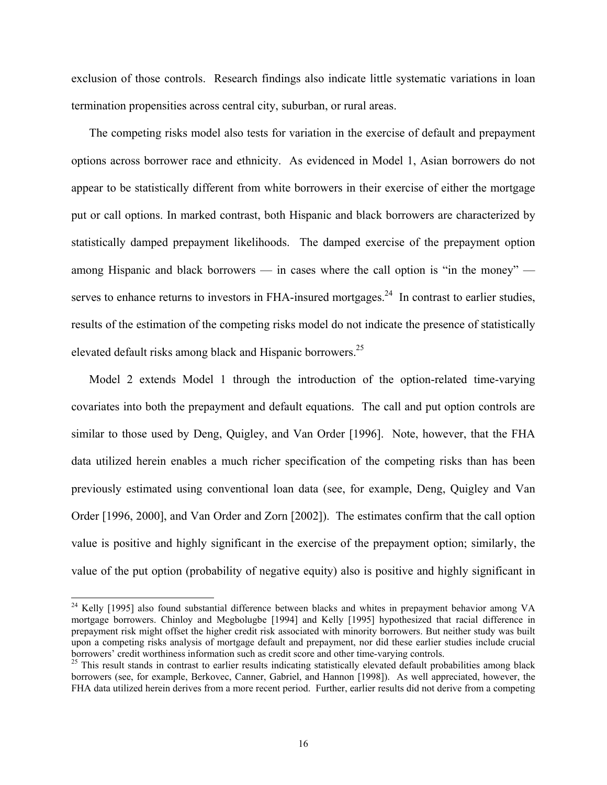exclusion of those controls. Research findings also indicate little systematic variations in loan termination propensities across central city, suburban, or rural areas.

The competing risks model also tests for variation in the exercise of default and prepayment options across borrower race and ethnicity. As evidenced in Model 1, Asian borrowers do not appear to be statistically different from white borrowers in their exercise of either the mortgage put or call options. In marked contrast, both Hispanic and black borrowers are characterized by statistically damped prepayment likelihoods. The damped exercise of the prepayment option among Hispanic and black borrowers — in cases where the call option is "in the money" serves to enhance returns to investors in FHA-insured mortgages.<sup>24</sup> In contrast to earlier studies, results of the estimation of the competing risks model do not indicate the presence of statistically elevated default risks among black and Hispanic borrowers[.25](#page-17-1) 

Model 2 extends Model 1 through the introduction of the option-related time-varying covariates into both the prepayment and default equations. The call and put option controls are similar to those used by Deng, Quigley, and Van Order [1996]. Note, however, that the FHA data utilized herein enables a much richer specification of the competing risks than has been previously estimated using conventional loan data (see, for example, Deng, Quigley and Van Order [1996, 2000], and Van Order and Zorn [2002]). The estimates confirm that the call option value is positive and highly significant in the exercise of the prepayment option; similarly, the value of the put option (probability of negative equity) also is positive and highly significant in

<span id="page-17-0"></span><sup>&</sup>lt;sup>24</sup> Kelly [1995] also found substantial difference between blacks and whites in prepayment behavior among VA mortgage borrowers. Chinloy and Megbolugbe [1994] and Kelly [1995] hypothesized that racial difference in prepayment risk might offset the higher credit risk associated with minority borrowers. But neither study was built upon a competing risks analysis of mortgage default and prepayment, nor did these earlier studies include crucial<br>borrowers' credit worthiness information such as credit score and other time-varying controls.

<span id="page-17-1"></span><sup>&</sup>lt;sup>25</sup> This result stands in contrast to earlier results indicating statistically elevated default probabilities among black borrowers (see, for example, Berkovec, Canner, Gabriel, and Hannon [1998]). As well appreciated, however, the FHA data utilized herein derives from a more recent period. Further, earlier results did not derive from a competing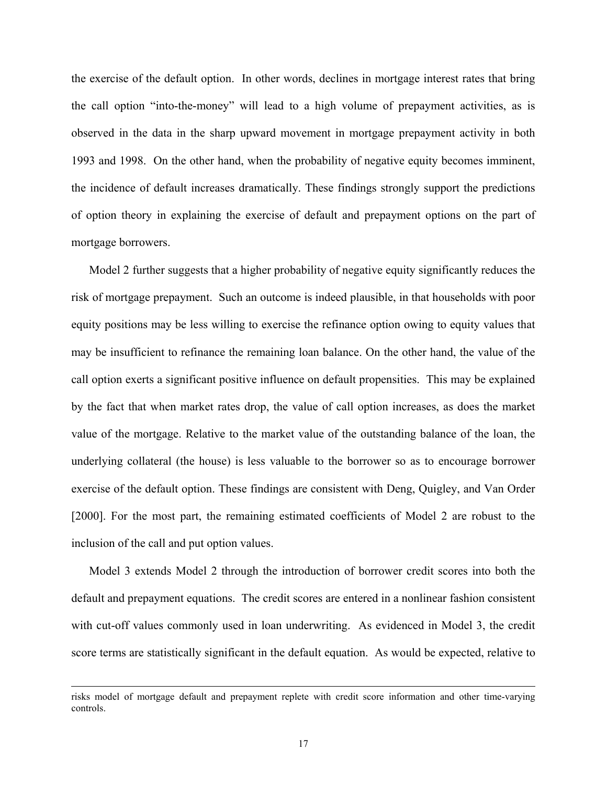the exercise of the default option. In other words, declines in mortgage interest rates that bring the call option "into-the-money" will lead to a high volume of prepayment activities, as is observed in the data in the sharp upward movement in mortgage prepayment activity in both 1993 and 1998. On the other hand, when the probability of negative equity becomes imminent, the incidence of default increases dramatically. These findings strongly support the predictions of option theory in explaining the exercise of default and prepayment options on the part of mortgage borrowers.

Model 2 further suggests that a higher probability of negative equity significantly reduces the risk of mortgage prepayment. Such an outcome is indeed plausible, in that households with poor equity positions may be less willing to exercise the refinance option owing to equity values that may be insufficient to refinance the remaining loan balance. On the other hand, the value of the call option exerts a significant positive influence on default propensities. This may be explained by the fact that when market rates drop, the value of call option increases, as does the market value of the mortgage. Relative to the market value of the outstanding balance of the loan, the underlying collateral (the house) is less valuable to the borrower so as to encourage borrower exercise of the default option. These findings are consistent with Deng, Quigley, and Van Order [2000]. For the most part, the remaining estimated coefficients of Model 2 are robust to the inclusion of the call and put option values.

Model 3 extends Model 2 through the introduction of borrower credit scores into both the default and prepayment equations. The credit scores are entered in a nonlinear fashion consistent with cut-off values commonly used in loan underwriting. As evidenced in Model 3, the credit score terms are statistically significant in the default equation. As would be expected, relative to

 $\overline{a}$ 

risks model of mortgage default and prepayment replete with credit score information and other time-varying controls.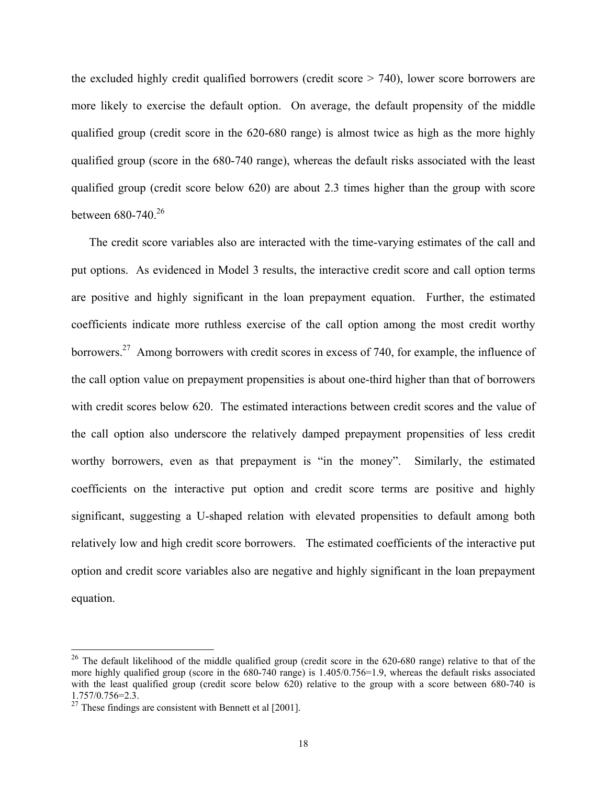the excluded highly credit qualified borrowers (credit score > 740), lower score borrowers are more likely to exercise the default option. On average, the default propensity of the middle qualified group (credit score in the 620-680 range) is almost twice as high as the more highly qualified group (score in the 680-740 range), whereas the default risks associated with the least qualified group (credit score below 620) are about 2.3 times higher than the group with score between 680-740.<sup>26</sup>

The credit score variables also are interacted with the time-varying estimates of the call and put options. As evidenced in Model 3 results, the interactive credit score and call option terms are positive and highly significant in the loan prepayment equation. Further, the estimated coefficients indicate more ruthless exercise of the call option among the most credit worthy borrowers.<sup>27</sup> Among borrowers with credit scores in excess of 740, for example, the influence of the call option value on prepayment propensities is about one-third higher than that of borrowers with credit scores below 620. The estimated interactions between credit scores and the value of the call option also underscore the relatively damped prepayment propensities of less credit worthy borrowers, even as that prepayment is "in the money". Similarly, the estimated coefficients on the interactive put option and credit score terms are positive and highly significant, suggesting a U-shaped relation with elevated propensities to default among both relatively low and high credit score borrowers. The estimated coefficients of the interactive put option and credit score variables also are negative and highly significant in the loan prepayment equation.

<span id="page-19-0"></span><sup>&</sup>lt;sup>26</sup> The default likelihood of the middle qualified group (credit score in the 620-680 range) relative to that of the more highly qualified group (score in the 680-740 range) is 1.405/0.756=1.9, whereas the default risks associated with the least qualified group (credit score below 620) relative to the group with a score between 680-740 is 1.757/0.756=2.3.

<span id="page-19-1"></span> $\frac{27}{27}$  These findings are consistent with Bennett et al [2001].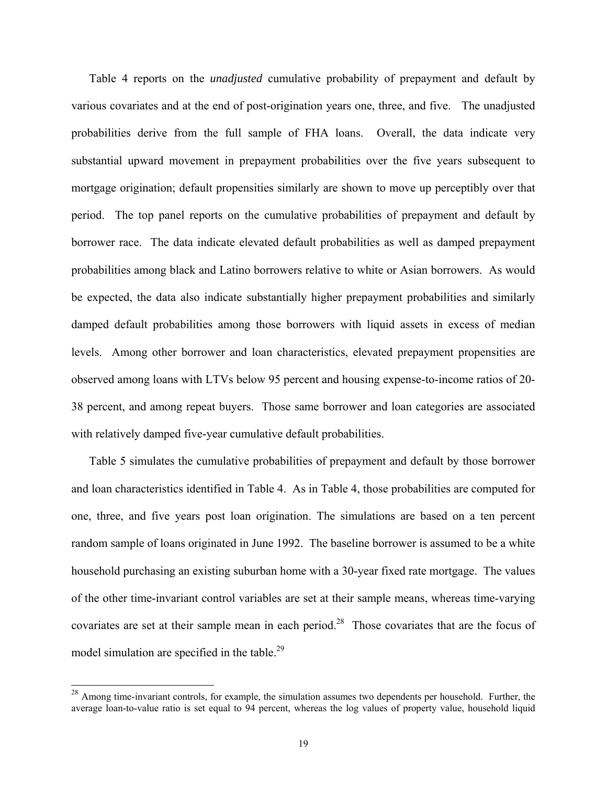Table 4 reports on the *unadjusted* cumulative probability of prepayment and default by various covariates and at the end of post-origination years one, three, and five. The unadjusted probabilities derive from the full sample of FHA loans. Overall, the data indicate very substantial upward movement in prepayment probabilities over the five years subsequent to mortgage origination; default propensities similarly are shown to move up perceptibly over that period. The top panel reports on the cumulative probabilities of prepayment and default by borrower race. The data indicate elevated default probabilities as well as damped prepayment probabilities among black and Latino borrowers relative to white or Asian borrowers. As would be expected, the data also indicate substantially higher prepayment probabilities and similarly damped default probabilities among those borrowers with liquid assets in excess of median levels. Among other borrower and loan characteristics, elevated prepayment propensities are observed among loans with LTVs below 95 percent and housing expense-to-income ratios of 20- 38 percent, and among repeat buyers. Those same borrower and loan categories are associated with relatively damped five-year cumulative default probabilities.

Table 5 simulates the cumulative probabilities of prepayment and default by those borrower and loan characteristics identified in Table 4. As in Table 4, those probabilities are computed for one, three, and five years post loan origination. The simulations are based on a ten percent random sample of loans originated in June 1992. The baseline borrower is assumed to be a white household purchasing an existing suburban home with a 30-year fixed rate mortgage. The values of the other time-invariant control variables are set at their sample means, whereas time-varying covariates are set at their sample mean in each period.<sup>28</sup> Those covariates that are the focus of model simulation are specified in the table.<sup>29</sup>

<span id="page-20-1"></span><span id="page-20-0"></span><sup>&</sup>lt;sup>28</sup> Among time-invariant controls, for example, the simulation assumes two dependents per household. Further, the average loan-to-value ratio is set equal to 94 percent, whereas the log values of property value, household liquid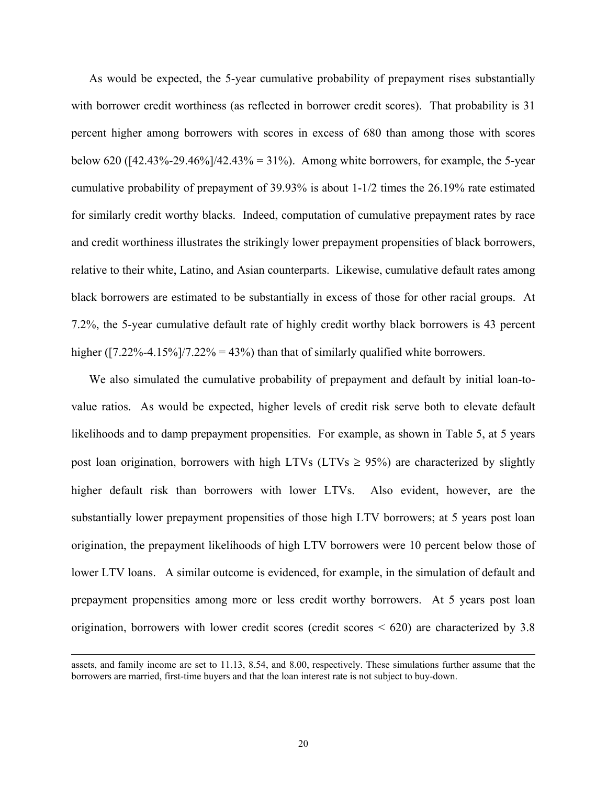As would be expected, the 5-year cumulative probability of prepayment rises substantially with borrower credit worthiness (as reflected in borrower credit scores). That probability is 31 percent higher among borrowers with scores in excess of 680 than among those with scores below 620 ( $[42.43\% - 29.46\%]/42.43\% = 31\%$ ). Among white borrowers, for example, the 5-year cumulative probability of prepayment of 39.93% is about 1-1/2 times the 26.19% rate estimated for similarly credit worthy blacks. Indeed, computation of cumulative prepayment rates by race and credit worthiness illustrates the strikingly lower prepayment propensities of black borrowers, relative to their white, Latino, and Asian counterparts. Likewise, cumulative default rates among black borrowers are estimated to be substantially in excess of those for other racial groups. At 7.2%, the 5-year cumulative default rate of highly credit worthy black borrowers is 43 percent higher  $(7.22\% - 4.15\%)/7.22\% = 43\%)$  than that of similarly qualified white borrowers.

We also simulated the cumulative probability of prepayment and default by initial loan-tovalue ratios. As would be expected, higher levels of credit risk serve both to elevate default likelihoods and to damp prepayment propensities. For example, as shown in Table 5, at 5 years post loan origination, borrowers with high LTVs (LTVs  $\geq$  95%) are characterized by slightly higher default risk than borrowers with lower LTVs. Also evident, however, are the substantially lower prepayment propensities of those high LTV borrowers; at 5 years post loan origination, the prepayment likelihoods of high LTV borrowers were 10 percent below those of lower LTV loans. A similar outcome is evidenced, for example, in the simulation of default and prepayment propensities among more or less credit worthy borrowers. At 5 years post loan origination, borrowers with lower credit scores (credit scores  $\leq 620$ ) are characterized by 3.8

 $\overline{a}$ 

assets, and family income are set to 11.13, 8.54, and 8.00, respectively. These simulations further assume that the borrowers are married, first-time buyers and that the loan interest rate is not subject to buy-down.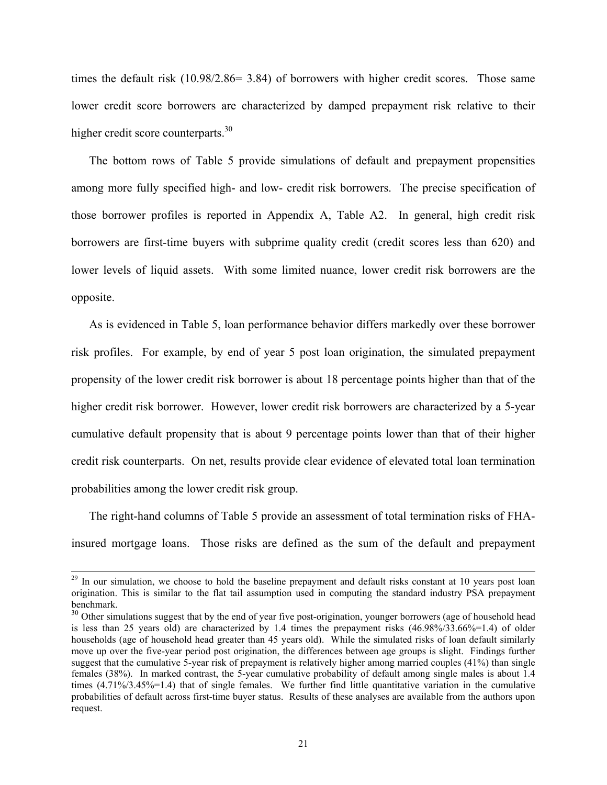times the default risk (10.98/2.86= 3.84) of borrowers with higher credit scores. Those same lower credit score borrowers are characterized by damped prepayment risk relative to their higher credit score counterparts.<sup>30</sup>

The bottom rows of Table 5 provide simulations of default and prepayment propensities among more fully specified high- and low- credit risk borrowers. The precise specification of those borrower profiles is reported in Appendix A, Table A2. In general, high credit risk borrowers are first-time buyers with subprime quality credit (credit scores less than 620) and lower levels of liquid assets. With some limited nuance, lower credit risk borrowers are the opposite.

As is evidenced in Table 5, loan performance behavior differs markedly over these borrower risk profiles. For example, by end of year 5 post loan origination, the simulated prepayment propensity of the lower credit risk borrower is about 18 percentage points higher than that of the higher credit risk borrower. However, lower credit risk borrowers are characterized by a 5-year cumulative default propensity that is about 9 percentage points lower than that of their higher credit risk counterparts. On net, results provide clear evidence of elevated total loan termination probabilities among the lower credit risk group.

The right-hand columns of Table 5 provide an assessment of total termination risks of FHAinsured mortgage loans. Those risks are defined as the sum of the default and prepayment

<sup>&</sup>lt;sup>29</sup> In our simulation, we choose to hold the baseline prepayment and default risks constant at 10 years post loan origination. This is similar to the flat tail assumption used in computing the standard industry PSA prepayment benchmark.

<span id="page-22-0"></span><sup>&</sup>lt;sup>30</sup> Other simulations suggest that by the end of year five post-origination, younger borrowers (age of household head is less than 25 years old) are characterized by 1.4 times the prepayment risks  $(46.98\%/33.66\%/=1.4)$  of older households (age of household head greater than 45 years old). While the simulated risks of loan default similarly move up over the five-year period post origination, the differences between age groups is slight. Findings further suggest that the cumulative 5-year risk of prepayment is relatively higher among married couples (41%) than single females (38%). In marked contrast, the 5-year cumulative probability of default among single males is about 1.4 times (4.71%/3.45%=1.4) that of single females. We further find little quantitative variation in the cumulative probabilities of default across first-time buyer status. Results of these analyses are available from the authors upon request.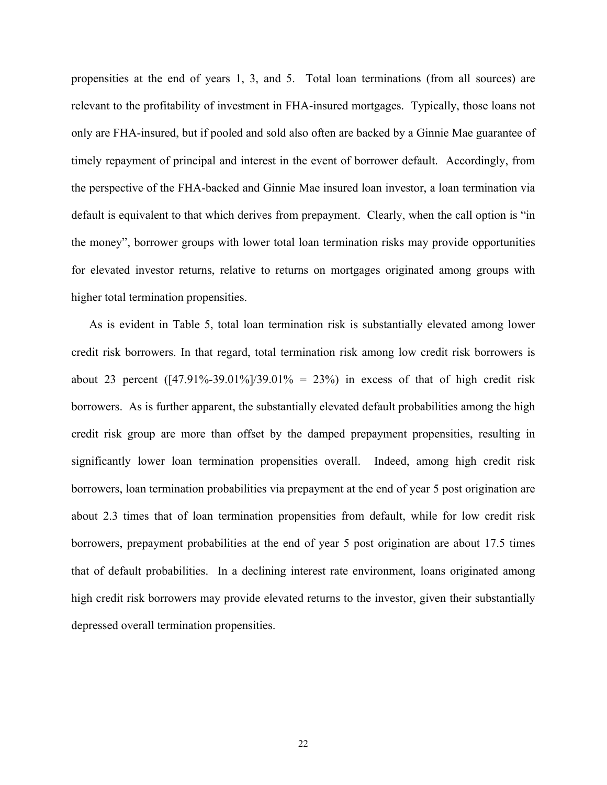propensities at the end of years 1, 3, and 5. Total loan terminations (from all sources) are relevant to the profitability of investment in FHA-insured mortgages. Typically, those loans not only are FHA-insured, but if pooled and sold also often are backed by a Ginnie Mae guarantee of timely repayment of principal and interest in the event of borrower default. Accordingly, from the perspective of the FHA-backed and Ginnie Mae insured loan investor, a loan termination via default is equivalent to that which derives from prepayment. Clearly, when the call option is "in the money", borrower groups with lower total loan termination risks may provide opportunities for elevated investor returns, relative to returns on mortgages originated among groups with higher total termination propensities.

As is evident in Table 5, total loan termination risk is substantially elevated among lower credit risk borrowers. In that regard, total termination risk among low credit risk borrowers is about 23 percent  $([47.91\% - 39.01\%]/39.01\% = 23\%)$  in excess of that of high credit risk borrowers. As is further apparent, the substantially elevated default probabilities among the high credit risk group are more than offset by the damped prepayment propensities, resulting in significantly lower loan termination propensities overall. Indeed, among high credit risk borrowers, loan termination probabilities via prepayment at the end of year 5 post origination are about 2.3 times that of loan termination propensities from default, while for low credit risk borrowers, prepayment probabilities at the end of year 5 post origination are about 17.5 times that of default probabilities. In a declining interest rate environment, loans originated among high credit risk borrowers may provide elevated returns to the investor, given their substantially depressed overall termination propensities.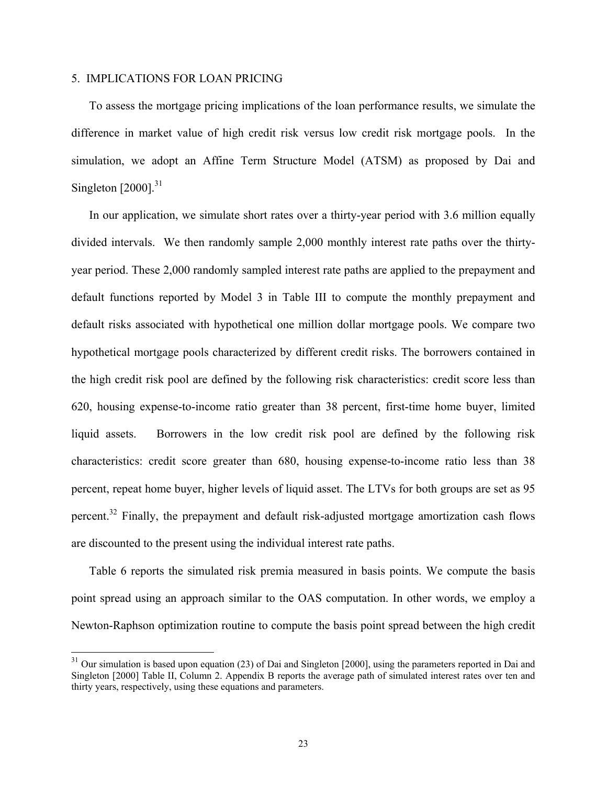#### 5. IMPLICATIONS FOR LOAN PRICING

To assess the mortgage pricing implications of the loan performance results, we simulate the difference in market value of high credit risk versus low credit risk mortgage pools. In the simulation, we adopt an Affine Term Structure Model (ATSM) as proposed by Dai and Singleton  $[2000]$ <sup>31</sup>

In our application, we simulate short rates over a thirty-year period with 3.6 million equally divided intervals. We then randomly sample 2,000 monthly interest rate paths over the thirtyyear period. These 2,000 randomly sampled interest rate paths are applied to the prepayment and default functions reported by Model 3 in Table III to compute the monthly prepayment and default risks associated with hypothetical one million dollar mortgage pools. We compare two hypothetical mortgage pools characterized by different credit risks. The borrowers contained in the high credit risk pool are defined by the following risk characteristics: credit score less than 620, housing expense-to-income ratio greater than 38 percent, first-time home buyer, limited liquid assets. Borrowers in the low credit risk pool are defined by the following risk characteristics: credit score greater than 680, housing expense-to-income ratio less than 38 percent, repeat home buyer, higher levels of liquid asset. The LTVs for both groups are set as 95 percent.<sup>32</sup> Finally, the prepayment and default risk-adjusted mortgage amortization cash flows are discounted to the present using the individual interest rate paths.

Table 6 reports the simulated risk premia measured in basis points. We compute the basis point spread using an approach similar to the OAS computation. In other words, we employ a Newton-Raphson optimization routine to compute the basis point spread between the high credit

<span id="page-24-1"></span><span id="page-24-0"></span> $31$  Our simulation is based upon equation (23) of Dai and Singleton [2000], using the parameters reported in Dai and Singleton [2000] Table II, Column 2. Appendix B reports the average path of simulated interest rates over ten and thirty years, respectively, using these equations and parameters.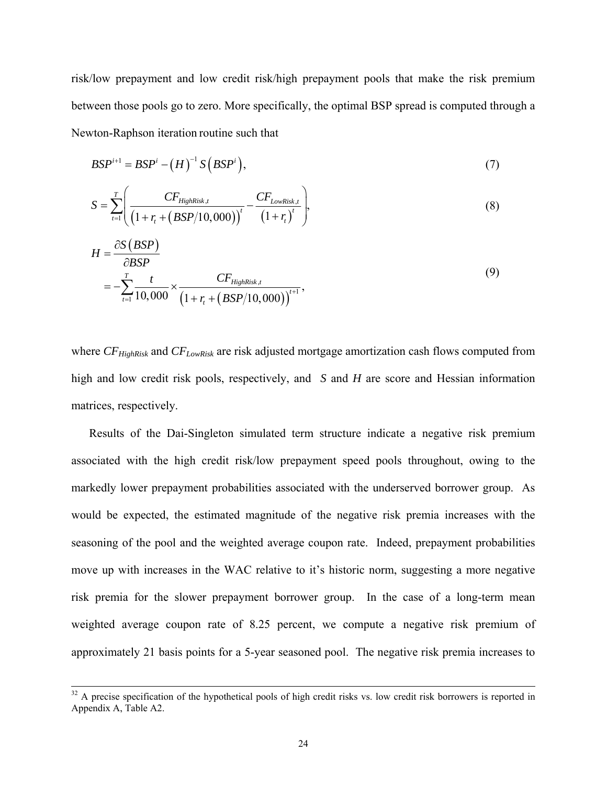risk/low prepayment and low credit risk/high prepayment pools that make the risk premium between those pools go to zero. More specifically, the optimal BSP spread is computed through a Newton-Raphson iteration routine such that

$$
BSP^{i+1} = BSP^i - (H)^{-1} S\left(BSP^i\right),\tag{7}
$$

$$
S = \sum_{t=1}^{T} \left( \frac{CF_{HighRisk,t}}{\left(1 + r_t + (BSP/10,000)\right)^t} - \frac{CF_{LowRisk,t}}{\left(1 + r_t\right)^t} \right),\tag{8}
$$

$$
H = \frac{\partial S (BSP)}{\partial BSP} \n= -\sum_{t=1}^{T} \frac{t}{10,000} \times \frac{CF_{HighRisk,t}}{\left(1 + r_t + (BSP/10,000)\right)^{t+1}},
$$
\n(9)

where *CF<sub>HighRisk</sub>* and *CF<sub>LowRisk</sub>* are risk adjusted mortgage amortization cash flows computed from high and low credit risk pools, respectively, and *S* and *H* are score and Hessian information matrices, respectively.

Results of the Dai-Singleton simulated term structure indicate a negative risk premium associated with the high credit risk/low prepayment speed pools throughout, owing to the markedly lower prepayment probabilities associated with the underserved borrower group. As would be expected, the estimated magnitude of the negative risk premia increases with the seasoning of the pool and the weighted average coupon rate. Indeed, prepayment probabilities move up with increases in the WAC relative to it's historic norm, suggesting a more negative risk premia for the slower prepayment borrower group. In the case of a long-term mean weighted average coupon rate of 8.25 percent, we compute a negative risk premium of approximately 21 basis points for a 5-year seasoned pool. The negative risk premia increases to

<sup>&</sup>lt;sup>32</sup> A precise specification of the hypothetical pools of high credit risks vs. low credit risk borrowers is reported in Appendix A, Table A2.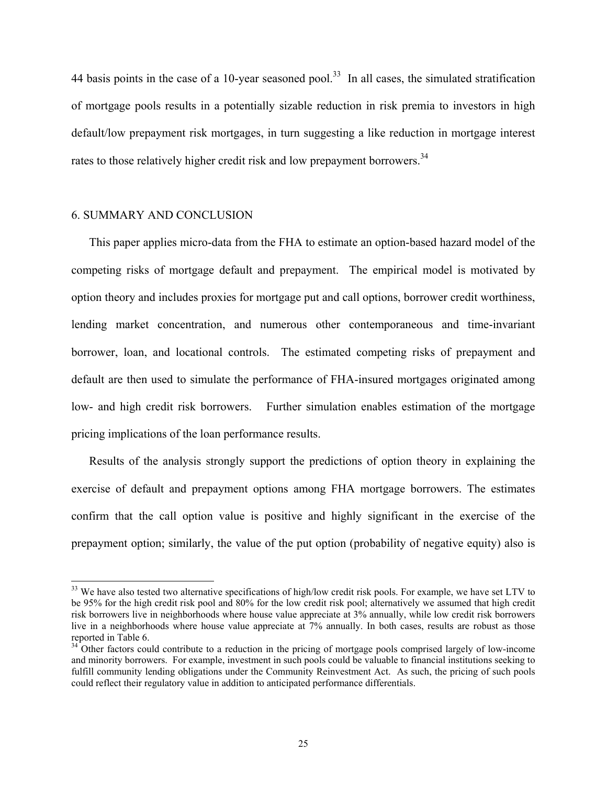44 basis points in the case of a 10-year seasoned pool.<sup>33</sup> In all cases, the simulated stratification of mortgage pools results in a potentially sizable reduction in risk premia to investors in high default/low prepayment risk mortgages, in turn suggesting a like reduction in mortgage interest rates to those relatively higher credit risk and low prepayment borrowers.<sup>[34](#page-26-1)</sup>

#### 6. SUMMARY AND CONCLUSION

This paper applies micro-data from the FHA to estimate an option-based hazard model of the competing risks of mortgage default and prepayment. The empirical model is motivated by option theory and includes proxies for mortgage put and call options, borrower credit worthiness, lending market concentration, and numerous other contemporaneous and time-invariant borrower, loan, and locational controls. The estimated competing risks of prepayment and default are then used to simulate the performance of FHA-insured mortgages originated among low- and high credit risk borrowers. Further simulation enables estimation of the mortgage pricing implications of the loan performance results.

Results of the analysis strongly support the predictions of option theory in explaining the exercise of default and prepayment options among FHA mortgage borrowers. The estimates confirm that the call option value is positive and highly significant in the exercise of the prepayment option; similarly, the value of the put option (probability of negative equity) also is

<span id="page-26-0"></span><sup>&</sup>lt;sup>33</sup> We have also tested two alternative specifications of high/low credit risk pools. For example, we have set LTV to be 95% for the high credit risk pool and 80% for the low credit risk pool; alternatively we assumed that high credit risk borrowers live in neighborhoods where house value appreciate at 3% annually, while low credit risk borrowers live in a neighborhoods where house value appreciate at 7% annually. In both cases, results are robust as those reported in Table 6.

<span id="page-26-1"></span> $34$  Other factors could contribute to a reduction in the pricing of mortgage pools comprised largely of low-income and minority borrowers. For example, investment in such pools could be valuable to financial institutions seeking to fulfill community lending obligations under the Community Reinvestment Act. As such, the pricing of such pools could reflect their regulatory value in addition to anticipated performance differentials.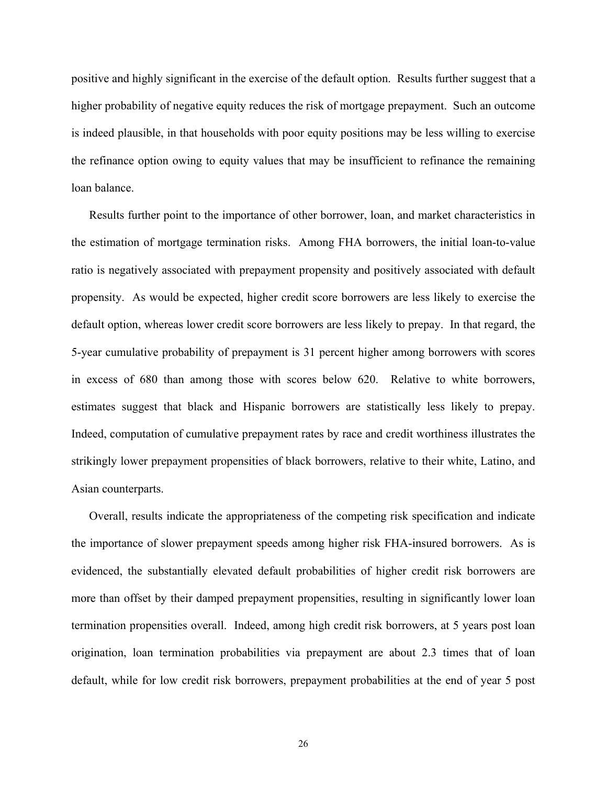positive and highly significant in the exercise of the default option. Results further suggest that a higher probability of negative equity reduces the risk of mortgage prepayment. Such an outcome is indeed plausible, in that households with poor equity positions may be less willing to exercise the refinance option owing to equity values that may be insufficient to refinance the remaining loan balance.

Results further point to the importance of other borrower, loan, and market characteristics in the estimation of mortgage termination risks. Among FHA borrowers, the initial loan-to-value ratio is negatively associated with prepayment propensity and positively associated with default propensity. As would be expected, higher credit score borrowers are less likely to exercise the default option, whereas lower credit score borrowers are less likely to prepay. In that regard, the 5-year cumulative probability of prepayment is 31 percent higher among borrowers with scores in excess of 680 than among those with scores below 620. Relative to white borrowers, estimates suggest that black and Hispanic borrowers are statistically less likely to prepay. Indeed, computation of cumulative prepayment rates by race and credit worthiness illustrates the strikingly lower prepayment propensities of black borrowers, relative to their white, Latino, and Asian counterparts.

Overall, results indicate the appropriateness of the competing risk specification and indicate the importance of slower prepayment speeds among higher risk FHA-insured borrowers. As is evidenced, the substantially elevated default probabilities of higher credit risk borrowers are more than offset by their damped prepayment propensities, resulting in significantly lower loan termination propensities overall. Indeed, among high credit risk borrowers, at 5 years post loan origination, loan termination probabilities via prepayment are about 2.3 times that of loan default, while for low credit risk borrowers, prepayment probabilities at the end of year 5 post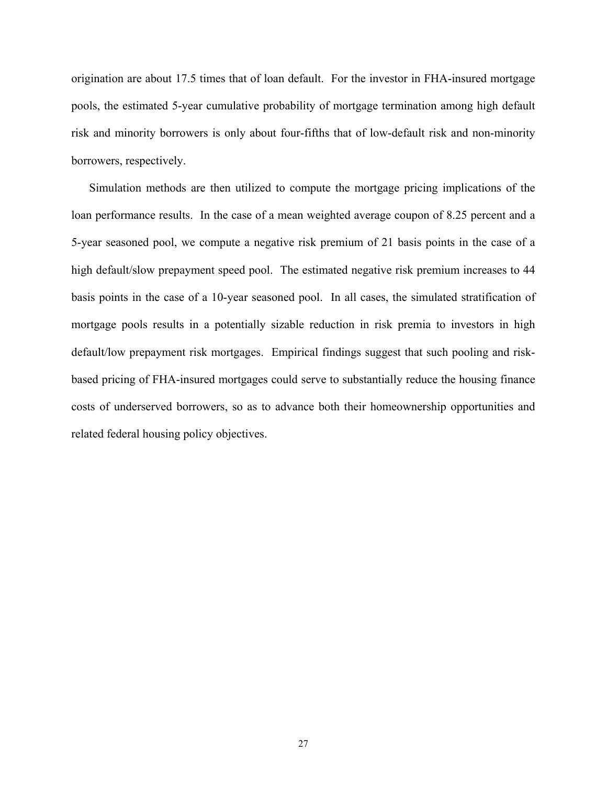origination are about 17.5 times that of loan default. For the investor in FHA-insured mortgage pools, the estimated 5-year cumulative probability of mortgage termination among high default risk and minority borrowers is only about four-fifths that of low-default risk and non-minority borrowers, respectively.

Simulation methods are then utilized to compute the mortgage pricing implications of the loan performance results. In the case of a mean weighted average coupon of 8.25 percent and a 5-year seasoned pool, we compute a negative risk premium of 21 basis points in the case of a high default/slow prepayment speed pool. The estimated negative risk premium increases to 44 basis points in the case of a 10-year seasoned pool. In all cases, the simulated stratification of mortgage pools results in a potentially sizable reduction in risk premia to investors in high default/low prepayment risk mortgages. Empirical findings suggest that such pooling and riskbased pricing of FHA-insured mortgages could serve to substantially reduce the housing finance costs of underserved borrowers, so as to advance both their homeownership opportunities and related federal housing policy objectives.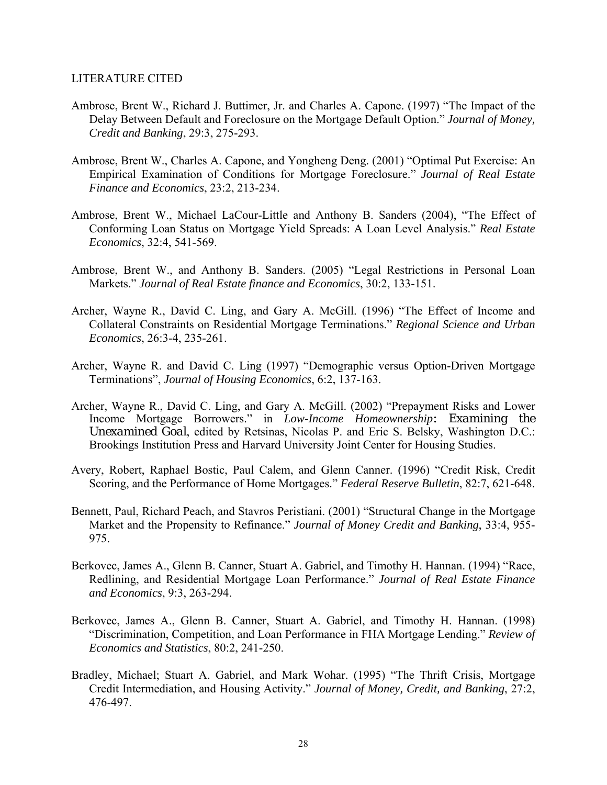#### LITERATURE CITED

- Ambrose, Brent W., Richard J. Buttimer, Jr. and Charles A. Capone. (1997) "The Impact of the Delay Between Default and Foreclosure on the Mortgage Default Option." *Journal of Money, Credit and Banking*, 29:3, 275-293.
- Ambrose, Brent W., Charles A. Capone, and Yongheng Deng. (2001) "Optimal Put Exercise: An Empirical Examination of Conditions for Mortgage Foreclosure." *Journal of Real Estate Finance and Economics*, 23:2, 213-234.
- Ambrose, Brent W., Michael LaCour-Little and Anthony B. Sanders (2004), "The Effect of Conforming Loan Status on Mortgage Yield Spreads: A Loan Level Analysis." *Real Estate Economics*, 32:4, 541-569.
- Ambrose, Brent W., and Anthony B. Sanders. (2005) "Legal Restrictions in Personal Loan Markets." *Journal of Real Estate finance and Economics*, 30:2, 133-151.
- Archer, Wayne R., David C. Ling, and Gary A. McGill. (1996) "The Effect of Income and Collateral Constraints on Residential Mortgage Terminations." *Regional Science and Urban Economics*, 26:3-4, 235-261.
- Archer, Wayne R. and David C. Ling (1997) "Demographic versus Option-Driven Mortgage Terminations", *Journal of Housing Economics*, 6:2, 137-163.
- Archer, Wayne R., David C. Ling, and Gary A. McGill. (2002) "Prepayment Risks and Lower Income Mortgage Borrowers." in *Low-Income Homeownership*: *Examining the Unexamined Goal*, edited by Retsinas, Nicolas P. and Eric S. Belsky, Washington D.C.: Brookings Institution Press and Harvard University Joint Center for Housing Studies.
- Avery, Robert, Raphael Bostic, Paul Calem, and Glenn Canner. (1996) "Credit Risk, Credit Scoring, and the Performance of Home Mortgages." *Federal Reserve Bulletin*, 82:7, 621-648.
- Bennett, Paul, Richard Peach, and Stavros Peristiani. (2001) "Structural Change in the Mortgage Market and the Propensity to Refinance." *Journal of Money Credit and Banking*, 33:4, 955- 975.
- Berkovec, James A., Glenn B. Canner, Stuart A. Gabriel, and Timothy H. Hannan. (1994) "Race, Redlining, and Residential Mortgage Loan Performance." *Journal of Real Estate Finance and Economics*, 9:3, 263-294.
- Berkovec, James A., Glenn B. Canner, Stuart A. Gabriel, and Timothy H. Hannan. (1998) "Discrimination, Competition, and Loan Performance in FHA Mortgage Lending." *Review of Economics and Statistics*, 80:2, 241-250.
- Bradley, Michael; Stuart A. Gabriel, and Mark Wohar. (1995) "The Thrift Crisis, Mortgage Credit Intermediation, and Housing Activity." *Journal of Money, Credit, and Banking*, 27:2, 476-497.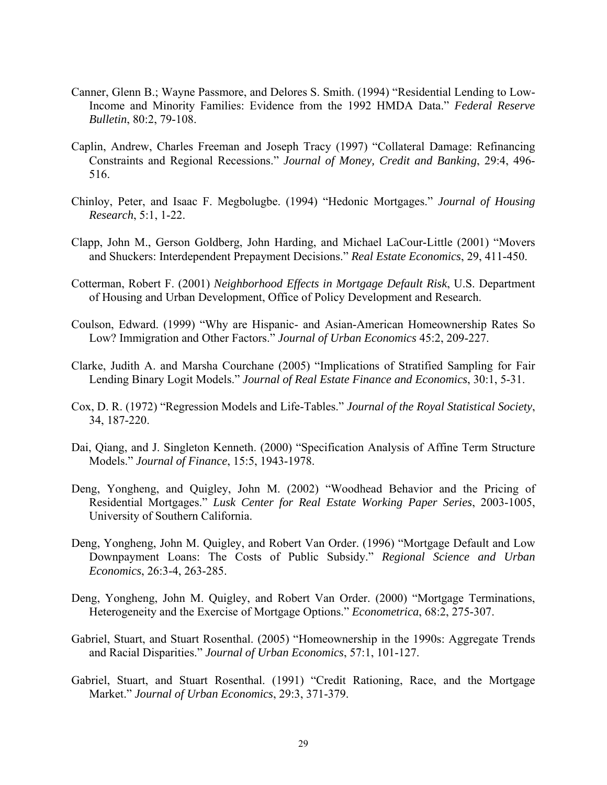- Canner, Glenn B.; Wayne Passmore, and Delores S. Smith. (1994) "Residential Lending to Low-Income and Minority Families: Evidence from the 1992 HMDA Data." *Federal Reserve Bulletin*, 80:2, 79-108.
- Caplin, Andrew, Charles Freeman and Joseph Tracy (1997) "Collateral Damage: Refinancing Constraints and Regional Recessions." *Journal of Money, Credit and Banking*, 29:4, 496- 516.
- Chinloy, Peter, and Isaac F. Megbolugbe. (1994) "Hedonic Mortgages." *Journal of Housing Research*, 5:1, 1-22.
- Clapp, John M., Gerson Goldberg, John Harding, and Michael LaCour-Little (2001) "Movers and Shuckers: Interdependent Prepayment Decisions." *Real Estate Economics*, 29, 411-450.
- Cotterman, Robert F. (2001) *Neighborhood Effects in Mortgage Default Risk*, U.S. Department of Housing and Urban Development, Office of Policy Development and Research.
- Coulson, Edward. (1999) "Why are Hispanic- and Asian-American Homeownership Rates So Low? Immigration and Other Factors." *Journal of Urban Economics* 45:2, 209-227.
- Clarke, Judith A. and Marsha Courchane (2005) "Implications of Stratified Sampling for Fair Lending Binary Logit Models." *Journal of Real Estate Finance and Economics*, 30:1, 5-31.
- Cox, D. R. (1972) "Regression Models and Life-Tables." *Journal of the Royal Statistical Society*, 34, 187-220.
- Dai, Qiang, and J. Singleton Kenneth. (2000) "Specification Analysis of Affine Term Structure Models." *Journal of Finance*, 15:5, 1943-1978.
- Deng, Yongheng, and Quigley, John M. (2002) "Woodhead Behavior and the Pricing of Residential Mortgages." *Lusk Center for Real Estate Working Paper Series*, 2003-1005, University of Southern California.
- Deng, Yongheng, John M. Quigley, and Robert Van Order. (1996) "Mortgage Default and Low Downpayment Loans: The Costs of Public Subsidy." *Regional Science and Urban Economics*, 26:3-4, 263-285.
- Deng, Yongheng, John M. Quigley, and Robert Van Order. (2000) "Mortgage Terminations, Heterogeneity and the Exercise of Mortgage Options." *Econometrica*, 68:2, 275-307.
- Gabriel, Stuart, and Stuart Rosenthal. (2005) "Homeownership in the 1990s: Aggregate Trends and Racial Disparities." *Journal of Urban Economics*, 57:1, 101-127.
- Gabriel, Stuart, and Stuart Rosenthal. (1991) "Credit Rationing, Race, and the Mortgage Market." *Journal of Urban Economics*, 29:3, 371-379.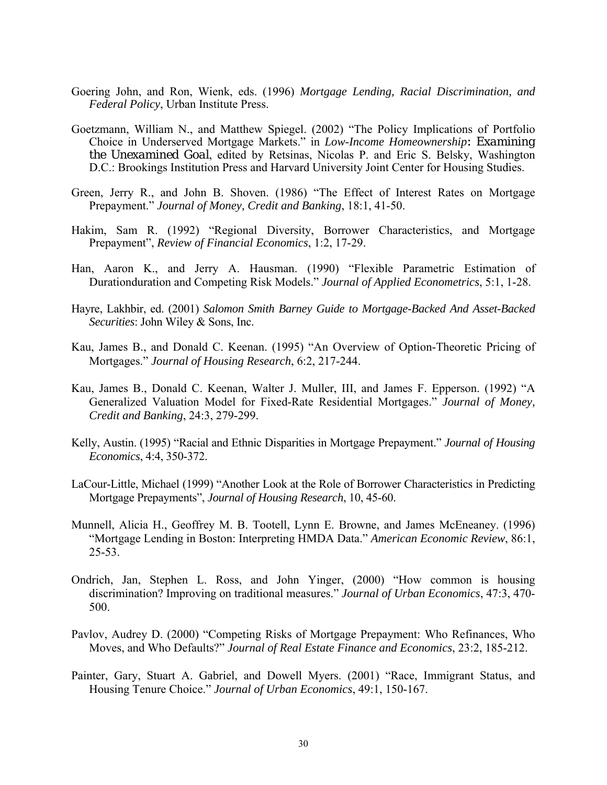- Goering John, and Ron, Wienk, eds. (1996) *Mortgage Lending, Racial Discrimination, and Federal Policy*, Urban Institute Press.
- Goetzmann, William N., and Matthew Spiegel. (2002) "The Policy Implications of Portfolio Choice in Underserved Mortgage Markets." in *Low-Income Homeownership*: *Examining the Unexamined Goal*, edited by Retsinas, Nicolas P. and Eric S. Belsky, Washington D.C.: Brookings Institution Press and Harvard University Joint Center for Housing Studies.
- Green, Jerry R., and John B. Shoven. (1986) "The Effect of Interest Rates on Mortgage Prepayment." *Journal of Money, Credit and Banking*, 18:1, 41-50.
- Hakim, Sam R. (1992) "Regional Diversity, Borrower Characteristics, and Mortgage Prepayment", *Review of Financial Economics*, 1:2, 17-29.
- Han, Aaron K., and Jerry A. Hausman. (1990) "Flexible Parametric Estimation of Durationduration and Competing Risk Models." *Journal of Applied Econometrics*, 5:1, 1-28.
- Hayre, Lakhbir, ed. (2001) *Salomon Smith Barney Guide to Mortgage-Backed And Asset-Backed Securities*: John Wiley & Sons, Inc.
- Kau, James B., and Donald C. Keenan. (1995) "An Overview of Option-Theoretic Pricing of Mortgages." *Journal of Housing Research*, 6:2, 217-244.
- Kau, James B., Donald C. Keenan, Walter J. Muller, III, and James F. Epperson. (1992) "A Generalized Valuation Model for Fixed-Rate Residential Mortgages." *Journal of Money, Credit and Banking*, 24:3, 279-299.
- Kelly, Austin. (1995) "Racial and Ethnic Disparities in Mortgage Prepayment." *Journal of Housing Economics*, 4:4, 350-372.
- LaCour-Little, Michael (1999) "Another Look at the Role of Borrower Characteristics in Predicting Mortgage Prepayments", *Journal of Housing Research*, 10, 45-60.
- Munnell, Alicia H., Geoffrey M. B. Tootell, Lynn E. Browne, and James McEneaney. (1996) "Mortgage Lending in Boston: Interpreting HMDA Data." *American Economic Review*, 86:1,  $25 - 53$ .
- Ondrich, Jan, Stephen L. Ross, and John Yinger, (2000) "How common is housing discrimination? Improving on traditional measures." *Journal of Urban Economics*, 47:3, 470- 500.
- Pavlov, Audrey D. (2000) "Competing Risks of Mortgage Prepayment: Who Refinances, Who Moves, and Who Defaults?" *Journal of Real Estate Finance and Economics*, 23:2, 185-212.
- Painter, Gary, Stuart A. Gabriel, and Dowell Myers. (2001) "Race, Immigrant Status, and Housing Tenure Choice." *Journal of Urban Economics*, 49:1, 150-167.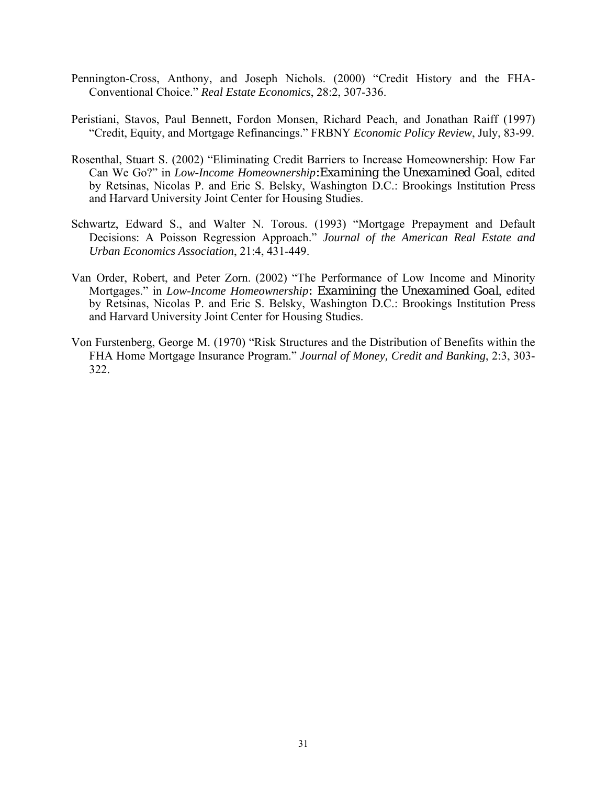- Pennington-Cross, Anthony, and Joseph Nichols. (2000) "Credit History and the FHA-Conventional Choice." *Real Estate Economics*, 28:2, 307-336.
- Peristiani, Stavos, Paul Bennett, Fordon Monsen, Richard Peach, and Jonathan Raiff (1997) "Credit, Equity, and Mortgage Refinancings." FRBNY *Economic Policy Review*, July, 83-99.
- Rosenthal, Stuart S. (2002) "Eliminating Credit Barriers to Increase Homeownership: How Far Can We Go?" in *Low-Income Homeownership*:*Examining the Unexamined Goal*, edited by Retsinas, Nicolas P. and Eric S. Belsky, Washington D.C.: Brookings Institution Press and Harvard University Joint Center for Housing Studies.
- Schwartz, Edward S., and Walter N. Torous. (1993) "Mortgage Prepayment and Default Decisions: A Poisson Regression Approach." *Journal of the American Real Estate and Urban Economics Association*, 21:4, 431-449.
- Van Order, Robert, and Peter Zorn. (2002) "The Performance of Low Income and Minority Mortgages." in *Low-Income Homeownership*: *Examining the Unexamined Goal*, edited by Retsinas, Nicolas P. and Eric S. Belsky, Washington D.C.: Brookings Institution Press and Harvard University Joint Center for Housing Studies.
- Von Furstenberg, George M. (1970) "Risk Structures and the Distribution of Benefits within the FHA Home Mortgage Insurance Program." *Journal of Money, Credit and Banking*, 2:3, 303- 322.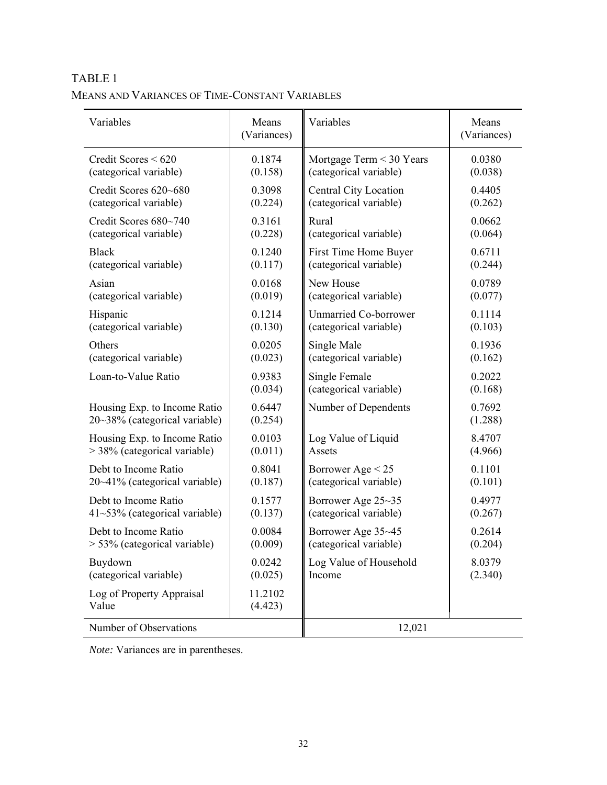| Variables                             | Means<br>(Variances) | Variables                    | Means<br>(Variances) |
|---------------------------------------|----------------------|------------------------------|----------------------|
| Credit Scores < 620                   | 0.1874               | Mortgage Term $<$ 30 Years   | 0.0380               |
| (categorical variable)                | (0.158)              | (categorical variable)       | (0.038)              |
| Credit Scores 620~680                 | 0.3098               | <b>Central City Location</b> | 0.4405               |
| (categorical variable)                | (0.224)              | (categorical variable)       | (0.262)              |
| Credit Scores 680~740                 | 0.3161               | Rural                        | 0.0662               |
| (categorical variable)                | (0.228)              | (categorical variable)       | (0.064)              |
| <b>Black</b>                          | 0.1240               | First Time Home Buyer        | 0.6711               |
| (categorical variable)                | (0.117)              | (categorical variable)       | (0.244)              |
| Asian                                 | 0.0168               | New House                    | 0.0789               |
| (categorical variable)                | (0.019)              | (categorical variable)       | (0.077)              |
| Hispanic                              | 0.1214               | Unmarried Co-borrower        | 0.1114               |
| (categorical variable)                | (0.130)              | (categorical variable)       | (0.103)              |
| Others                                | 0.0205               | Single Male                  | 0.1936               |
| (categorical variable)                | (0.023)              | (categorical variable)       | (0.162)              |
| Loan-to-Value Ratio                   | 0.9383               | Single Female                | 0.2022               |
|                                       | (0.034)              | (categorical variable)       | (0.168)              |
| Housing Exp. to Income Ratio          | 0.6447               | Number of Dependents         | 0.7692               |
| 20~38% (categorical variable)         | (0.254)              |                              | (1.288)              |
| Housing Exp. to Income Ratio          | 0.0103               | Log Value of Liquid          | 8.4707               |
| $>$ 38% (categorical variable)        | (0.011)              | Assets                       | (4.966)              |
| Debt to Income Ratio                  | 0.8041               | Borrower Age $< 25$          | 0.1101               |
| $20 - 41\%$ (categorical variable)    | (0.187)              | (categorical variable)       | (0.101)              |
| Debt to Income Ratio                  | 0.1577               | Borrower Age 25~35           | 0.4977               |
| $41 \sim 53\%$ (categorical variable) | (0.137)              | (categorical variable)       | (0.267)              |
| Debt to Income Ratio                  | 0.0084               | Borrower Age 35~45           | 0.2614               |
| $> 53\%$ (categorical variable)       | (0.009)              | (categorical variable)       | (0.204)              |
| Buydown                               | 0.0242               | Log Value of Household       | 8.0379               |
| (categorical variable)                | (0.025)              | Income                       | (2.340)              |
| Log of Property Appraisal<br>Value    | 11.2102<br>(4.423)   |                              |                      |
| Number of Observations                |                      | 12,021                       |                      |

# TABLE 1 MEANS AND VARIANCES OF TIME-CONSTANT VARIABLES

*Note:* Variances are in parentheses.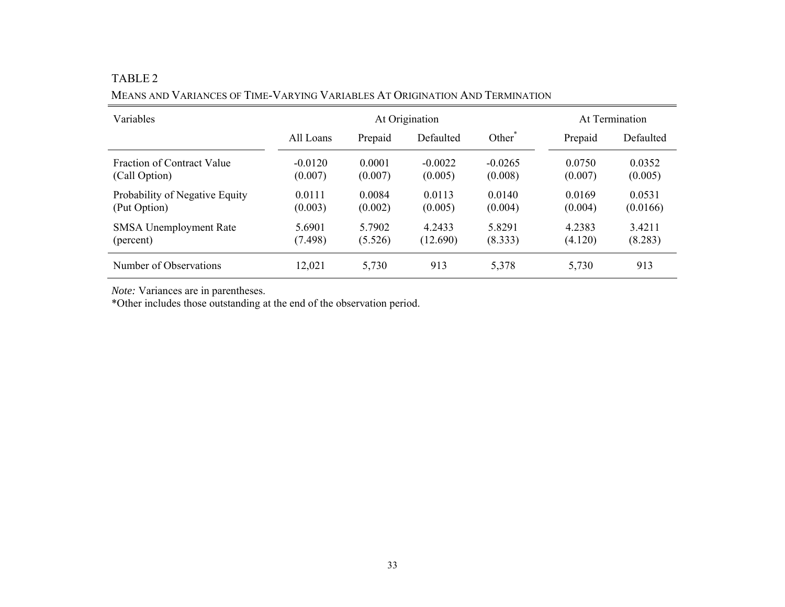| Variables                         |           | At Origination | At Termination |                    |         |           |
|-----------------------------------|-----------|----------------|----------------|--------------------|---------|-----------|
|                                   | All Loans | Prepaid        | Defaulted      | Other <sup>*</sup> | Prepaid | Defaulted |
| <b>Fraction of Contract Value</b> | $-0.0120$ | 0.0001         | $-0.0022$      | $-0.0265$          | 0.0750  | 0.0352    |
| (Call Option)                     | (0.007)   | (0.007)        | (0.005)        | (0.008)            | (0.007) | (0.005)   |
| Probability of Negative Equity    | 0.0111    | 0.0084         | 0.0113         | 0.0140             | 0.0169  | 0.0531    |
| (Put Option)                      | (0.003)   | (0.002)        | (0.005)        | (0.004)            | (0.004) | (0.0166)  |
| <b>SMSA</b> Unemployment Rate     | 5.6901    | 5.7902         | 4.2433         | 5.8291             | 4.2383  | 3 4 2 1 1 |
| (percent)                         | (7.498)   | (5.526)        | (12.690)       | (8.333)            | (4.120) | (8.283)   |
| Number of Observations            | 12,021    | 5,730          | 913            | 5,378              | 5,730   | 913       |

## TABLE 2 MEANS AND VARIANCES OF TIME-VARYING VARIABLES AT ORIGINATION AND TERMINATION

*Note:* Variances are in parentheses.

\*Other includes those outstanding at the end of the observation period.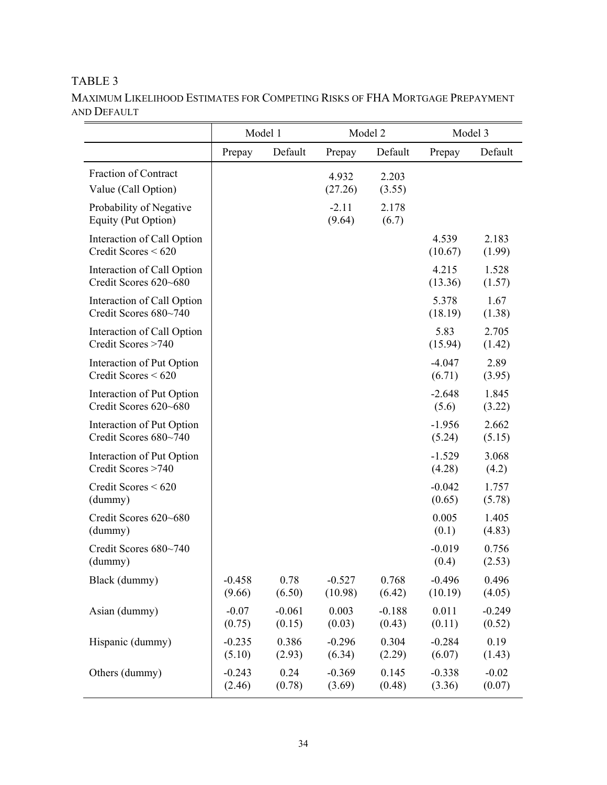# MAXIMUM LIKELIHOOD ESTIMATES FOR COMPETING RISKS OF FHA MORTGAGE PREPAYMENT AND DEFAULT

|                                                     |                    | Model 1            |                     | Model 2            | Model 3             |                    |
|-----------------------------------------------------|--------------------|--------------------|---------------------|--------------------|---------------------|--------------------|
|                                                     | Prepay             | Default            | Prepay              | Default            | Prepay              | Default            |
| Fraction of Contract<br>Value (Call Option)         |                    |                    | 4.932<br>(27.26)    | 2.203<br>(3.55)    |                     |                    |
| Probability of Negative<br>Equity (Put Option)      |                    |                    | $-2.11$<br>(9.64)   | 2.178<br>(6.7)     |                     |                    |
| Interaction of Call Option<br>Credit Scores < 620   |                    |                    |                     |                    | 4.539<br>(10.67)    | 2.183<br>(1.99)    |
| Interaction of Call Option<br>Credit Scores 620~680 |                    |                    |                     |                    | 4.215<br>(13.36)    | 1.528<br>(1.57)    |
| Interaction of Call Option<br>Credit Scores 680~740 |                    |                    |                     |                    | 5.378<br>(18.19)    | 1.67<br>(1.38)     |
| Interaction of Call Option<br>Credit Scores >740    |                    |                    |                     |                    | 5.83<br>(15.94)     | 2.705<br>(1.42)    |
| Interaction of Put Option<br>Credit Scores $< 620$  |                    |                    |                     |                    | $-4.047$<br>(6.71)  | 2.89<br>(3.95)     |
| Interaction of Put Option<br>Credit Scores 620~680  |                    |                    |                     |                    | $-2.648$<br>(5.6)   | 1.845<br>(3.22)    |
| Interaction of Put Option<br>Credit Scores 680~740  |                    |                    |                     |                    | $-1.956$<br>(5.24)  | 2.662<br>(5.15)    |
| Interaction of Put Option<br>Credit Scores >740     |                    |                    |                     |                    | $-1.529$<br>(4.28)  | 3.068<br>(4.2)     |
| Credit Scores < 620<br>(dummy)                      |                    |                    |                     |                    | $-0.042$<br>(0.65)  | 1.757<br>(5.78)    |
| Credit Scores 620~680<br>(dummy)                    |                    |                    |                     |                    | 0.005<br>(0.1)      | 1.405<br>(4.83)    |
| Credit Scores 680~740<br>(dummy)                    |                    |                    |                     |                    | $-0.019$<br>(0.4)   | 0.756<br>(2.53)    |
| Black (dummy)                                       | $-0.458$<br>(9.66) | 0.78<br>(6.50)     | $-0.527$<br>(10.98) | 0.768<br>(6.42)    | $-0.496$<br>(10.19) | 0.496<br>(4.05)    |
| Asian (dummy)                                       | $-0.07$<br>(0.75)  | $-0.061$<br>(0.15) | 0.003<br>(0.03)     | $-0.188$<br>(0.43) | 0.011<br>(0.11)     | $-0.249$<br>(0.52) |
| Hispanic (dummy)                                    | $-0.235$<br>(5.10) | 0.386<br>(2.93)    | $-0.296$<br>(6.34)  | 0.304<br>(2.29)    | $-0.284$<br>(6.07)  | 0.19<br>(1.43)     |
| Others (dummy)                                      | $-0.243$<br>(2.46) | 0.24<br>(0.78)     | $-0.369$<br>(3.69)  | 0.145<br>(0.48)    | $-0.338$<br>(3.36)  | $-0.02$<br>(0.07)  |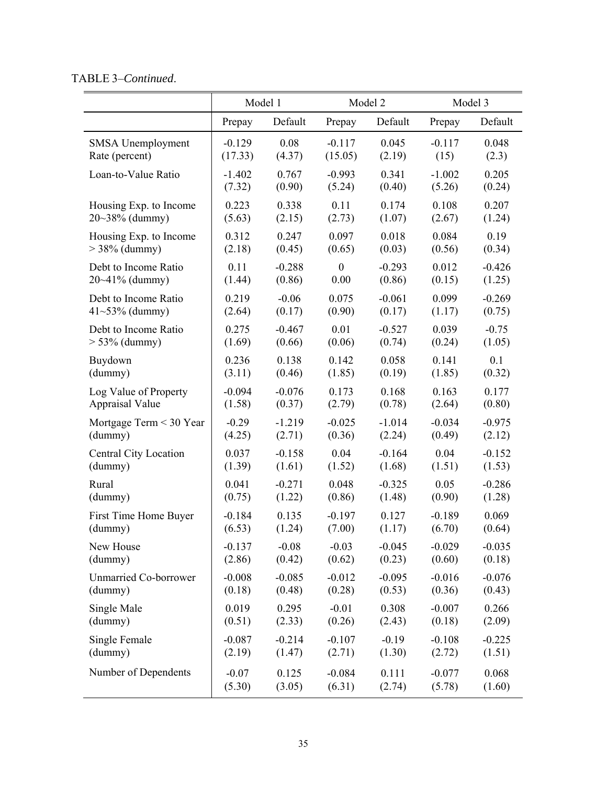# TABLE 3–*Continued*.

|                          | Model 1  |          |                  | Model 2  |          | Model 3  |
|--------------------------|----------|----------|------------------|----------|----------|----------|
|                          | Prepay   | Default  | Prepay           | Default  | Prepay   | Default  |
| <b>SMSA</b> Unemployment | $-0.129$ | 0.08     | $-0.117$         | 0.045    | $-0.117$ | 0.048    |
| Rate (percent)           | (17.33)  | (4.37)   | (15.05)          | (2.19)   | (15)     | (2.3)    |
| Loan-to-Value Ratio      | $-1.402$ | 0.767    | $-0.993$         | 0.341    | $-1.002$ | 0.205    |
|                          | (7.32)   | (0.90)   | (5.24)           | (0.40)   | (5.26)   | (0.24)   |
| Housing Exp. to Income   | 0.223    | 0.338    | 0.11             | 0.174    | 0.108    | 0.207    |
| $20 - 38%$ (dummy)       | (5.63)   | (2.15)   | (2.73)           | (1.07)   | (2.67)   | (1.24)   |
| Housing Exp. to Income   | 0.312    | 0.247    | 0.097            | 0.018    | 0.084    | 0.19     |
| $>$ 38% (dummy)          | (2.18)   | (0.45)   | (0.65)           | (0.03)   | (0.56)   | (0.34)   |
| Debt to Income Ratio     | 0.11     | $-0.288$ | $\boldsymbol{0}$ | $-0.293$ | 0.012    | $-0.426$ |
| $20 - 41\%$ (dummy)      | (1.44)   | (0.86)   | 0.00             | (0.86)   | (0.15)   | (1.25)   |
| Debt to Income Ratio     | 0.219    | $-0.06$  | 0.075            | $-0.061$ | 0.099    | $-0.269$ |
| $41 \sim 53\%$ (dummy)   | (2.64)   | (0.17)   | (0.90)           | (0.17)   | (1.17)   | (0.75)   |
| Debt to Income Ratio     | 0.275    | $-0.467$ | 0.01             | $-0.527$ | 0.039    | $-0.75$  |
| $> 53\%$ (dummy)         | (1.69)   | (0.66)   | (0.06)           | (0.74)   | (0.24)   | (1.05)   |
| Buydown                  | 0.236    | 0.138    | 0.142            | 0.058    | 0.141    | 0.1      |
| (dummy)                  | (3.11)   | (0.46)   | (1.85)           | (0.19)   | (1.85)   | (0.32)   |
| Log Value of Property    | $-0.094$ | $-0.076$ | 0.173            | 0.168    | 0.163    | 0.177    |
| Appraisal Value          | (1.58)   | (0.37)   | (2.79)           | (0.78)   | (2.64)   | (0.80)   |
| Mortgage Term < 30 Year  | $-0.29$  | $-1.219$ | $-0.025$         | $-1.014$ | $-0.034$ | $-0.975$ |
| (dummy)                  | (4.25)   | (2.71)   | (0.36)           | (2.24)   | (0.49)   | (2.12)   |
| Central City Location    | 0.037    | $-0.158$ | 0.04             | $-0.164$ | 0.04     | $-0.152$ |
| (dummy)                  | (1.39)   | (1.61)   | (1.52)           | (1.68)   | (1.51)   | (1.53)   |
| Rural                    | 0.041    | $-0.271$ | 0.048            | $-0.325$ | 0.05     | $-0.286$ |
| (dummy)                  | (0.75)   | (1.22)   | (0.86)           | (1.48)   | (0.90)   | (1.28)   |
| First Time Home Buyer    | $-0.184$ | 0.135    | $-0.197$         | 0.127    | $-0.189$ | 0.069    |
| (dummy)                  | (6.53)   | (1.24)   | (7.00)           | (1.17)   | (6.70)   | (0.64)   |
| New House                | $-0.137$ | $-0.08$  | $-0.03$          | $-0.045$ | $-0.029$ | $-0.035$ |
| (dummy)                  | (2.86)   | (0.42)   | (0.62)           | (0.23)   | (0.60)   | (0.18)   |
| Unmarried Co-borrower    | $-0.008$ | $-0.085$ | $-0.012$         | $-0.095$ | $-0.016$ | $-0.076$ |
| (dummy)                  | (0.18)   | (0.48)   | (0.28)           | (0.53)   | (0.36)   | (0.43)   |
| Single Male              | 0.019    | 0.295    | $-0.01$          | 0.308    | $-0.007$ | 0.266    |
| (dummy)                  | (0.51)   | (2.33)   | (0.26)           | (2.43)   | (0.18)   | (2.09)   |
| Single Female            | $-0.087$ | $-0.214$ | $-0.107$         | $-0.19$  | $-0.108$ | $-0.225$ |
| (dummy)                  | (2.19)   | (1.47)   | (2.71)           | (1.30)   | (2.72)   | (1.51)   |
| Number of Dependents     | $-0.07$  | 0.125    | $-0.084$         | 0.111    | $-0.077$ | 0.068    |
|                          | (5.30)   | (3.05)   | (6.31)           | (2.74)   | (5.78)   | (1.60)   |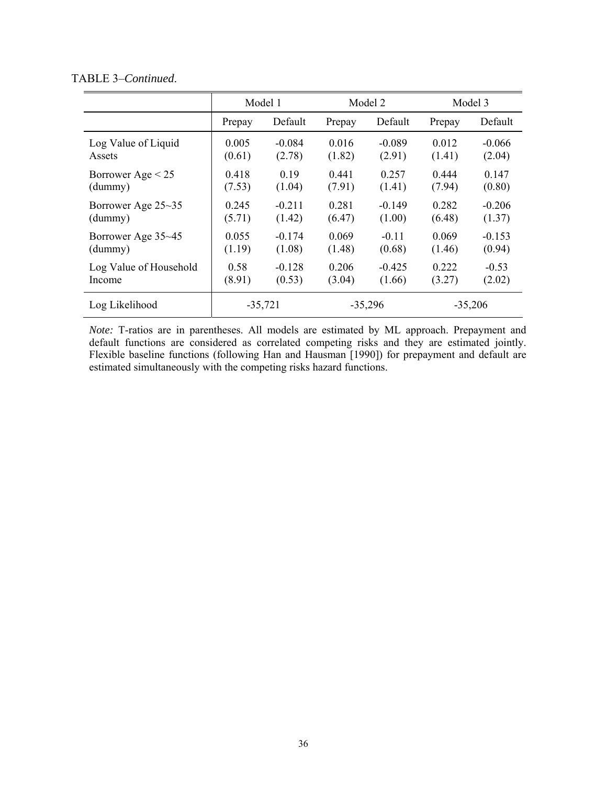|                        |        | Model 1   |        | Model 2   | Model 3 |           |
|------------------------|--------|-----------|--------|-----------|---------|-----------|
|                        | Prepay | Default   | Prepay | Default   | Prepay  | Default   |
| Log Value of Liquid    | 0.005  | $-0.084$  | 0.016  | $-0.089$  | 0.012   | $-0.066$  |
| Assets                 | (0.61) | (2.78)    | (1.82) | (2.91)    | (1.41)  | (2.04)    |
| Borrower Age $< 25$    | 0.418  | 0.19      | 0.441  | 0.257     | 0.444   | 0.147     |
| (dummy)                | (7.53) | (1.04)    | (7.91) | (1.41)    | (7.94)  | (0.80)    |
| Borrower Age 25~35     | 0.245  | $-0.211$  | 0.281  | $-0.149$  | 0.282   | $-0.206$  |
| (dummy)                | (5.71) | (1.42)    | (6.47) | (1.00)    | (6.48)  | (1.37)    |
| Borrower Age 35~45     | 0.055  | $-0.174$  | 0.069  | $-0.11$   | 0.069   | $-0.153$  |
| (dummy)                | (1.19) | (1.08)    | (1.48) | (0.68)    | (1.46)  | (0.94)    |
| Log Value of Household | 0.58   | $-0.128$  | 0.206  | $-0.425$  | 0.222   | $-0.53$   |
| Income                 | (8.91) | (0.53)    | (3.04) | (1.66)    | (3.27)  | (2.02)    |
| Log Likelihood         |        | $-35,721$ |        | $-35,296$ |         | $-35,206$ |

### TABLE 3–*Continued*.

*Note:* T-ratios are in parentheses. All models are estimated by ML approach. Prepayment and default functions are considered as correlated competing risks and they are estimated jointly. Flexible baseline functions (following Han and Hausman [1990]) for prepayment and default are estimated simultaneously with the competing risks hazard functions.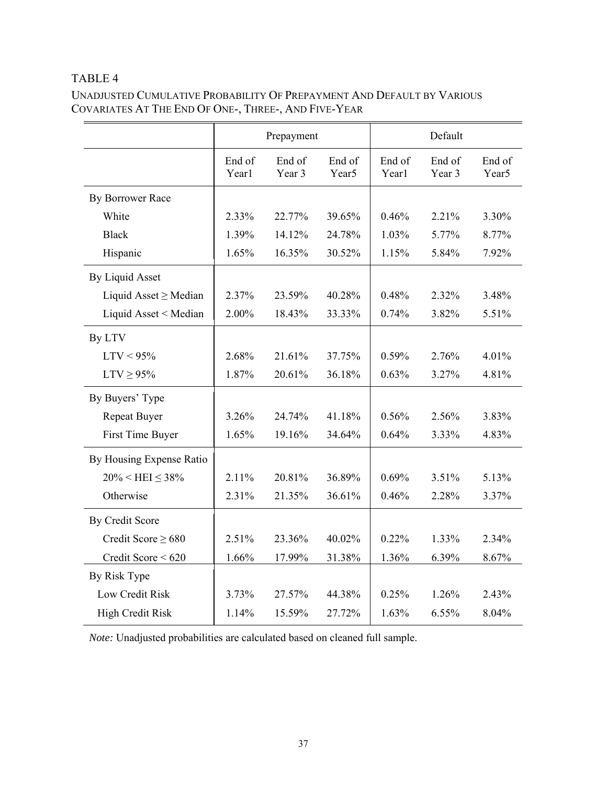# UNADJUSTED CUMULATIVE PROBABILITY OF PREPAYMENT AND DEFAULT BY VARIOUS COVARIATES AT THE END OF ONE-, THREE-, AND FIVE-YEAR

|                            |                 | Prepayment       |                             | Default         |                  |                             |
|----------------------------|-----------------|------------------|-----------------------------|-----------------|------------------|-----------------------------|
|                            | End of<br>Year1 | End of<br>Year 3 | End of<br>Year <sub>5</sub> | End of<br>Year1 | End of<br>Year 3 | End of<br>Year <sub>5</sub> |
| By Borrower Race           |                 |                  |                             |                 |                  |                             |
| White                      | 2.33%           | 22.77%           | 39.65%                      | 0.46%           | 2.21%            | 3.30%                       |
| <b>Black</b>               | 1.39%           | 14.12%           | 24.78%                      | 1.03%           | 5.77%            | 8.77%                       |
| Hispanic                   | 1.65%           | 16.35%           | 30.52%                      | 1.15%           | 5.84%            | 7.92%                       |
| By Liquid Asset            |                 |                  |                             |                 |                  |                             |
| Liquid Asset $\geq$ Median | 2.37%           | 23.59%           | 40.28%                      | 0.48%           | 2.32%            | 3.48%                       |
| Liquid Asset < Median      | 2.00%           | 18.43%           | 33.33%                      | 0.74%           | 3.82%            | 5.51%                       |
| By LTV                     |                 |                  |                             |                 |                  |                             |
| $LTV < 95\%$               | 2.68%           | 21.61%           | 37.75%                      | 0.59%           | 2.76%            | 4.01%                       |
| $LTV \geq 95\%$            | 1.87%           | 20.61%           | 36.18%                      | 0.63%           | 3.27%            | 4.81%                       |
| By Buyers' Type            |                 |                  |                             |                 |                  |                             |
| Repeat Buyer               | 3.26%           | 24.74%           | 41.18%                      | 0.56%           | 2.56%            | 3.83%                       |
| First Time Buyer           | 1.65%           | 19.16%           | 34.64%                      | 0.64%           | 3.33%            | 4.83%                       |
| By Housing Expense Ratio   |                 |                  |                             |                 |                  |                             |
| $20\% < HEI \leq 38\%$     | 2.11%           | 20.81%           | 36.89%                      | 0.69%           | 3.51%            | 5.13%                       |
| Otherwise                  | 2.31%           | 21.35%           | 36.61%                      | 0.46%           | 2.28%            | 3.37%                       |
| By Credit Score            |                 |                  |                             |                 |                  |                             |
| Credit Score $\geq 680$    | 2.51%           | 23.36%           | 40.02%                      | 0.22%           | 1.33%            | 2.34%                       |
| Credit Score < 620         | 1.66%           | 17.99%           | 31.38%                      | 1.36%           | 6.39%            | 8.67%                       |
| By Risk Type               |                 |                  |                             |                 |                  |                             |
| Low Credit Risk            | 3.73%           | 27.57%           | 44.38%                      | 0.25%           | 1.26%            | 2.43%                       |
| <b>High Credit Risk</b>    | 1.14%           | 15.59%           | 27.72%                      | 1.63%           | 6.55%            | 8.04%                       |

*Note:* Unadjusted probabilities are calculated based on cleaned full sample.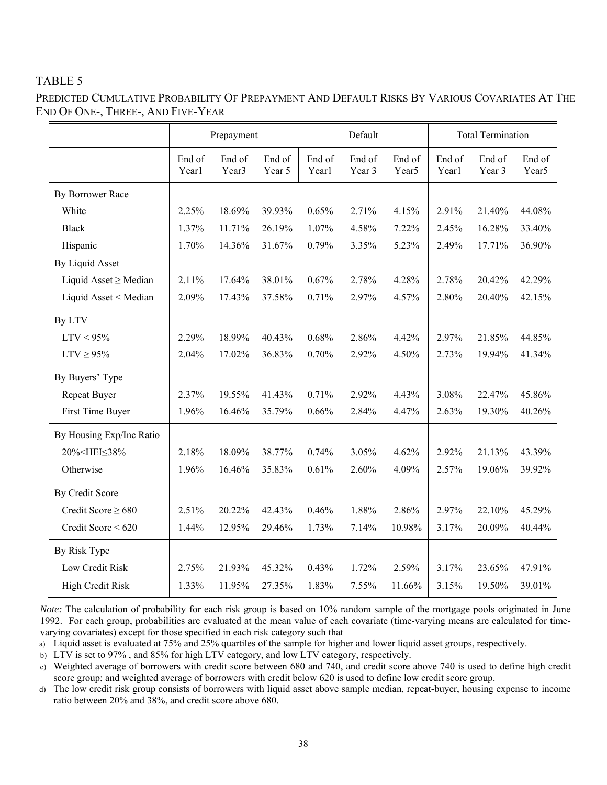## PREDICTED CUMULATIVE PROBABILITY OF PREPAYMENT AND DEFAULT RISKS BY VARIOUS COVARIATES AT THE END OF ONE-, THREE-, AND FIVE-YEAR

|                                                                                                                                                                   |                 | Prepayment                  |                  |                 | Default          |                             |                 | <b>Total Termination</b> |                             |
|-------------------------------------------------------------------------------------------------------------------------------------------------------------------|-----------------|-----------------------------|------------------|-----------------|------------------|-----------------------------|-----------------|--------------------------|-----------------------------|
|                                                                                                                                                                   | End of<br>Yearl | End of<br>Year <sub>3</sub> | End of<br>Year 5 | End of<br>Yearl | End of<br>Year 3 | End of<br>Year <sub>5</sub> | End of<br>Yearl | End of<br>Year 3         | End of<br>Year <sub>5</sub> |
| By Borrower Race                                                                                                                                                  |                 |                             |                  |                 |                  |                             |                 |                          |                             |
| White                                                                                                                                                             | 2.25%           | 18.69%                      | 39.93%           | 0.65%           | 2.71%            | 4.15%                       | 2.91%           | 21.40%                   | 44.08%                      |
| <b>Black</b>                                                                                                                                                      | 1.37%           | 11.71%                      | 26.19%           | 1.07%           | 4.58%            | 7.22%                       | 2.45%           | 16.28%                   | 33.40%                      |
| Hispanic                                                                                                                                                          | 1.70%           | 14.36%                      | 31.67%           | 0.79%           | 3.35%            | 5.23%                       | 2.49%           | 17.71%                   | 36.90%                      |
| By Liquid Asset                                                                                                                                                   |                 |                             |                  |                 |                  |                             |                 |                          |                             |
| Liquid Asset $\geq$ Median                                                                                                                                        | 2.11%           | 17.64%                      | 38.01%           | 0.67%           | 2.78%            | 4.28%                       | 2.78%           | 20.42%                   | 42.29%                      |
| Liquid Asset < Median                                                                                                                                             | 2.09%           | 17.43%                      | 37.58%           | 0.71%           | 2.97%            | 4.57%                       | 2.80%           | 20.40%                   | 42.15%                      |
| By LTV                                                                                                                                                            |                 |                             |                  |                 |                  |                             |                 |                          |                             |
| $LTV < 95\%$                                                                                                                                                      | 2.29%           | 18.99%                      | 40.43%           | 0.68%           | 2.86%            | 4.42%                       | 2.97%           | 21.85%                   | 44.85%                      |
| $LTV \geq 95\%$                                                                                                                                                   | 2.04%           | 17.02%                      | 36.83%           | 0.70%           | 2.92%            | 4.50%                       | 2.73%           | 19.94%                   | 41.34%                      |
| By Buyers' Type                                                                                                                                                   |                 |                             |                  |                 |                  |                             |                 |                          |                             |
| Repeat Buyer                                                                                                                                                      | 2.37%           | 19.55%                      | 41.43%           | 0.71%           | 2.92%            | 4.43%                       | 3.08%           | 22.47%                   | 45.86%                      |
| First Time Buyer                                                                                                                                                  | 1.96%           | 16.46%                      | 35.79%           | 0.66%           | 2.84%            | 4.47%                       | 2.63%           | 19.30%                   | 40.26%                      |
| By Housing Exp/Inc Ratio                                                                                                                                          |                 |                             |                  |                 |                  |                             |                 |                          |                             |
| 20% <hei≤38%< td=""><td>2.18%</td><td>18.09%</td><td>38.77%</td><td>0.74%</td><td>3.05%</td><td>4.62%</td><td>2.92%</td><td>21.13%</td><td>43.39%</td></hei≤38%<> | 2.18%           | 18.09%                      | 38.77%           | 0.74%           | 3.05%            | 4.62%                       | 2.92%           | 21.13%                   | 43.39%                      |
| Otherwise                                                                                                                                                         | 1.96%           | 16.46%                      | 35.83%           | 0.61%           | 2.60%            | 4.09%                       | 2.57%           | 19.06%                   | 39.92%                      |
| By Credit Score                                                                                                                                                   |                 |                             |                  |                 |                  |                             |                 |                          |                             |
| Credit Score $\geq 680$                                                                                                                                           | 2.51%           | 20.22%                      | 42.43%           | 0.46%           | 1.88%            | 2.86%                       | 2.97%           | 22.10%                   | 45.29%                      |
| Credit Score < 620                                                                                                                                                | 1.44%           | 12.95%                      | 29.46%           | 1.73%           | 7.14%            | 10.98%                      | 3.17%           | 20.09%                   | 40.44%                      |
| By Risk Type                                                                                                                                                      |                 |                             |                  |                 |                  |                             |                 |                          |                             |
| Low Credit Risk                                                                                                                                                   | 2.75%           | 21.93%                      | 45.32%           | 0.43%           | 1.72%            | 2.59%                       | 3.17%           | 23.65%                   | 47.91%                      |
| High Credit Risk                                                                                                                                                  | 1.33%           | 11.95%                      | 27.35%           | 1.83%           | 7.55%            | 11.66%                      | 3.15%           | 19.50%                   | 39.01%                      |

*Note:* The calculation of probability for each risk group is based on 10% random sample of the mortgage pools originated in June 1992. For each group, probabilities are evaluated at the mean value of each covariate (time-varying means are calculated for timevarying covariates) except for those specified in each risk category such that

a) Liquid asset is evaluated at 75% and 25% quartiles of the sample for higher and lower liquid asset groups, respectively.

b) LTV is set to 97% , and 85% for high LTV category, and low LTV category, respectively.

c) Weighted average of borrowers with credit score between 680 and 740, and credit score above 740 is used to define high credit score group; and weighted average of borrowers with credit below 620 is used to define low credit score group.

d) The low credit risk group consists of borrowers with liquid asset above sample median, repeat-buyer, housing expense to income ratio between 20% and 38%, and credit score above 680.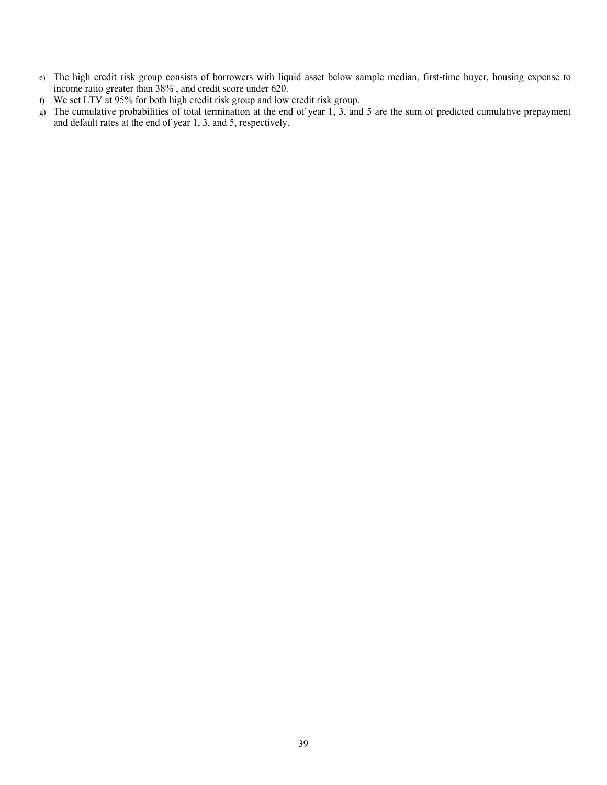- e) The high credit risk group consists of borrowers with liquid asset below sample median, first-time buyer, housing expense to income ratio greater than 38% , and credit score under 620.
- f) We set LTV at 95% for both high credit risk group and low credit risk group.
- g) The cumulative probabilities of total termination at the end of year 1, 3, and 5 are the sum of predicted cumulative prepayment and default rates at the end of year 1, 3, and 5, respectively.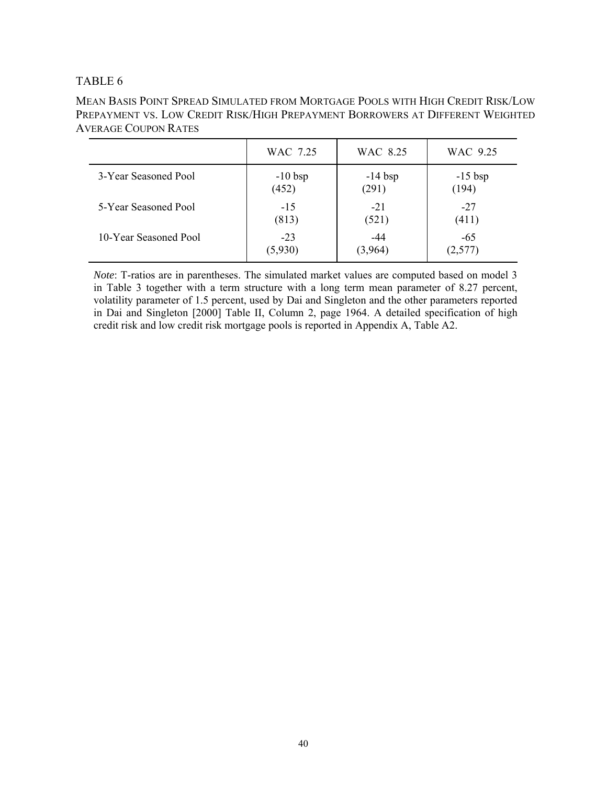## MEAN BASIS POINT SPREAD SIMULATED FROM MORTGAGE POOLS WITH HIGH CREDIT RISK/LOW PREPAYMENT VS. LOW CREDIT RISK/HIGH PREPAYMENT BORROWERS AT DIFFERENT WEIGHTED AVERAGE COUPON RATES

|                       | WAC 7.25  | WAC 8.25  | WAC 9.25  |
|-----------------------|-----------|-----------|-----------|
| 3-Year Seasoned Pool  | $-10$ bsp | $-14$ bsp | $-15$ bsp |
|                       | (452)     | (291)     | (194)     |
| 5-Year Seasoned Pool  | $-15$     | $-21$     | $-27$     |
|                       | (813)     | (521)     | (411)     |
| 10-Year Seasoned Pool | $-23$     | -44       | $-65$     |
|                       | (5,930)   | (3,964)   | (2,577)   |

*Note*: T-ratios are in parentheses. The simulated market values are computed based on model 3 in Table 3 together with a term structure with a long term mean parameter of 8.27 percent, volatility parameter of 1.5 percent, used by Dai and Singleton and the other parameters reported in Dai and Singleton [2000] Table II, Column 2, page 1964. A detailed specification of high credit risk and low credit risk mortgage pools is reported in Appendix A, Table A2.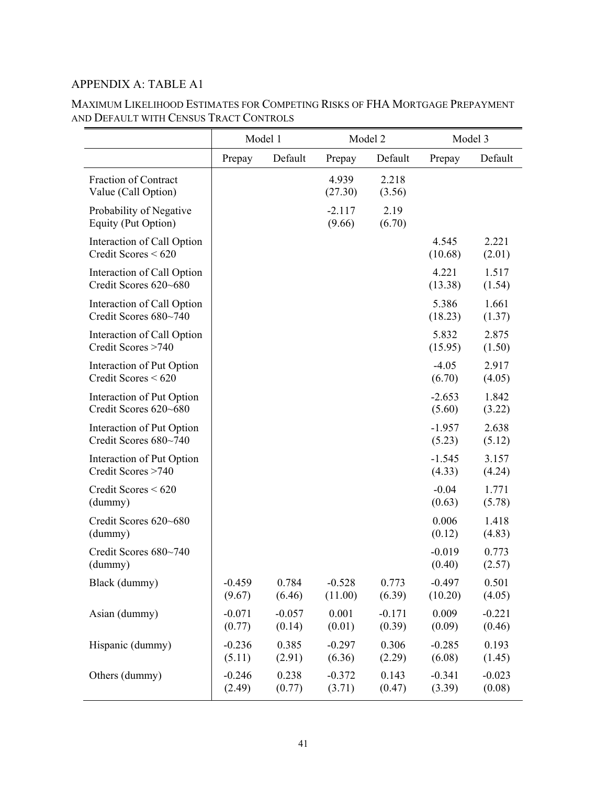# APPENDIX A: TABLE A1

## MAXIMUM LIKELIHOOD ESTIMATES FOR COMPETING RISKS OF FHA MORTGAGE PREPAYMENT AND DEFAULT WITH CENSUS TRACT CONTROLS

|                                                     |                    | Model 1            |                     | Model 2            | Model 3             |                    |
|-----------------------------------------------------|--------------------|--------------------|---------------------|--------------------|---------------------|--------------------|
|                                                     | Prepay             | Default            | Prepay              | Default            | Prepay              | Default            |
| Fraction of Contract<br>Value (Call Option)         |                    |                    | 4.939<br>(27.30)    | 2.218<br>(3.56)    |                     |                    |
| Probability of Negative<br>Equity (Put Option)      |                    |                    | $-2.117$<br>(9.66)  | 2.19<br>(6.70)     |                     |                    |
| Interaction of Call Option<br>Credit Scores < 620   |                    |                    |                     |                    | 4.545<br>(10.68)    | 2.221<br>(2.01)    |
| Interaction of Call Option<br>Credit Scores 620~680 |                    |                    |                     |                    | 4.221<br>(13.38)    | 1.517<br>(1.54)    |
| Interaction of Call Option<br>Credit Scores 680~740 |                    |                    |                     |                    | 5.386<br>(18.23)    | 1.661<br>(1.37)    |
| Interaction of Call Option<br>Credit Scores >740    |                    |                    |                     |                    | 5.832<br>(15.95)    | 2.875<br>(1.50)    |
| Interaction of Put Option<br>Credit Scores $< 620$  |                    |                    |                     |                    | $-4.05$<br>(6.70)   | 2.917<br>(4.05)    |
| Interaction of Put Option<br>Credit Scores 620~680  |                    |                    |                     |                    | $-2.653$<br>(5.60)  | 1.842<br>(3.22)    |
| Interaction of Put Option<br>Credit Scores 680~740  |                    |                    |                     |                    | $-1.957$<br>(5.23)  | 2.638<br>(5.12)    |
| Interaction of Put Option<br>Credit Scores >740     |                    |                    |                     |                    | $-1.545$<br>(4.33)  | 3.157<br>(4.24)    |
| Credit Scores $< 620$<br>(dummy)                    |                    |                    |                     |                    | $-0.04$<br>(0.63)   | 1.771<br>(5.78)    |
| Credit Scores 620~680<br>(dummy)                    |                    |                    |                     |                    | 0.006<br>(0.12)     | 1.418<br>(4.83)    |
| Credit Scores 680~740<br>(dummy)                    |                    |                    |                     |                    | $-0.019$<br>(0.40)  | 0.773<br>(2.57)    |
| Black (dummy)                                       | $-0.459$<br>(9.67) | 0.784<br>(6.46)    | $-0.528$<br>(11.00) | 0.773<br>(6.39)    | $-0.497$<br>(10.20) | 0.501<br>(4.05)    |
| Asian (dummy)                                       | $-0.071$<br>(0.77) | $-0.057$<br>(0.14) | 0.001<br>(0.01)     | $-0.171$<br>(0.39) | 0.009<br>(0.09)     | $-0.221$<br>(0.46) |
| Hispanic (dummy)                                    | $-0.236$<br>(5.11) | 0.385<br>(2.91)    | $-0.297$<br>(6.36)  | 0.306<br>(2.29)    | $-0.285$<br>(6.08)  | 0.193<br>(1.45)    |
| Others (dummy)                                      | $-0.246$<br>(2.49) | 0.238<br>(0.77)    | $-0.372$<br>(3.71)  | 0.143<br>(0.47)    | $-0.341$<br>(3.39)  | $-0.023$<br>(0.08) |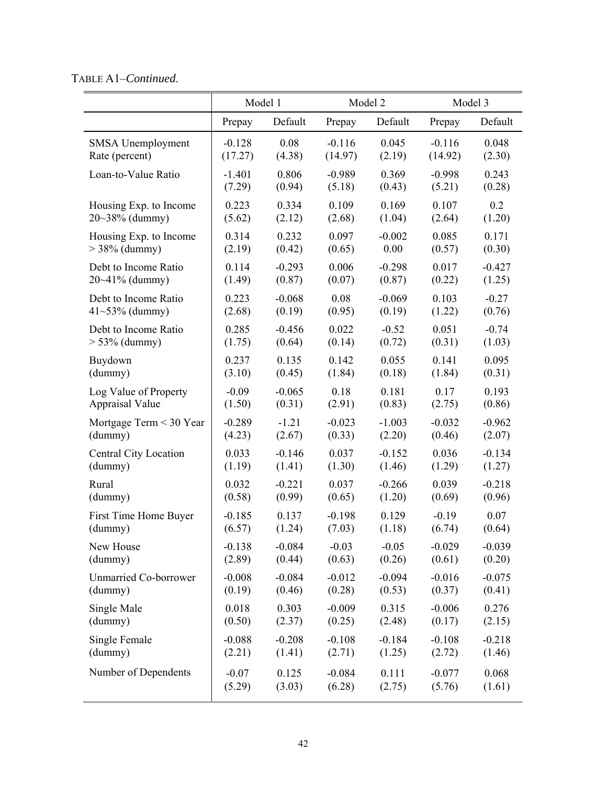|                           |          | Model 1  |          | Model 2  | Model 3  |          |
|---------------------------|----------|----------|----------|----------|----------|----------|
|                           | Prepay   | Default  | Prepay   | Default  | Prepay   | Default  |
| <b>SMSA</b> Unemployment  | $-0.128$ | 0.08     | $-0.116$ | 0.045    | $-0.116$ | 0.048    |
| Rate (percent)            | (17.27)  | (4.38)   | (14.97)  | (2.19)   | (14.92)  | (2.30)   |
| Loan-to-Value Ratio       | $-1.401$ | 0.806    | $-0.989$ | 0.369    | $-0.998$ | 0.243    |
|                           | (7.29)   | (0.94)   | (5.18)   | (0.43)   | (5.21)   | (0.28)   |
| Housing Exp. to Income    | 0.223    | 0.334    | 0.109    | 0.169    | 0.107    | 0.2      |
| $20~38\%$ (dummy)         | (5.62)   | (2.12)   | (2.68)   | (1.04)   | (2.64)   | (1.20)   |
| Housing Exp. to Income    | 0.314    | 0.232    | 0.097    | $-0.002$ | 0.085    | 0.171    |
| $>$ 38% (dummy)           | (2.19)   | (0.42)   | (0.65)   | 0.00     | (0.57)   | (0.30)   |
| Debt to Income Ratio      | 0.114    | $-0.293$ | 0.006    | $-0.298$ | 0.017    | $-0.427$ |
| $20 - 41\%$ (dummy)       | (1.49)   | (0.87)   | (0.07)   | (0.87)   | (0.22)   | (1.25)   |
| Debt to Income Ratio      | 0.223    | $-0.068$ | 0.08     | $-0.069$ | 0.103    | $-0.27$  |
| $41 - 53\%$ (dummy)       | (2.68)   | (0.19)   | (0.95)   | (0.19)   | (1.22)   | (0.76)   |
| Debt to Income Ratio      | 0.285    | $-0.456$ | 0.022    | $-0.52$  | 0.051    | $-0.74$  |
| $> 53\%$ (dummy)          | (1.75)   | (0.64)   | (0.14)   | (0.72)   | (0.31)   | (1.03)   |
| Buydown                   | 0.237    | 0.135    | 0.142    | 0.055    | 0.141    | 0.095    |
| (dummy)                   | (3.10)   | (0.45)   | (1.84)   | (0.18)   | (1.84)   | (0.31)   |
| Log Value of Property     | $-0.09$  | $-0.065$ | 0.18     | 0.181    | 0.17     | 0.193    |
| <b>Appraisal Value</b>    | (1.50)   | (0.31)   | (2.91)   | (0.83)   | (2.75)   | (0.86)   |
| Mortgage Term $<$ 30 Year | $-0.289$ | $-1.21$  | $-0.023$ | $-1.003$ | $-0.032$ | $-0.962$ |
| (dummy)                   | (4.23)   | (2.67)   | (0.33)   | (2.20)   | (0.46)   | (2.07)   |
| Central City Location     | 0.033    | $-0.146$ | 0.037    | $-0.152$ | 0.036    | $-0.134$ |
| (dummy)                   | (1.19)   | (1.41)   | (1.30)   | (1.46)   | (1.29)   | (1.27)   |
| Rural                     | 0.032    | $-0.221$ | 0.037    | $-0.266$ | 0.039    | $-0.218$ |
| (dummy)                   | (0.58)   | (0.99)   | (0.65)   | (1.20)   | (0.69)   | (0.96)   |
| First Time Home Buyer     | $-0.185$ | 0.137    | $-0.198$ | 0.129    | $-0.19$  | 0.07     |
| (dummy)                   | (6.57)   | (1.24)   | (7.03)   | (1.18)   | (6.74)   | (0.64)   |
| New House                 | $-0.138$ | $-0.084$ | $-0.03$  | $-0.05$  | $-0.029$ | $-0.039$ |
| (dummy)                   | (2.89)   | (0.44)   | (0.63)   | (0.26)   | (0.61)   | (0.20)   |
| Unmarried Co-borrower     | $-0.008$ | $-0.084$ | $-0.012$ | $-0.094$ | $-0.016$ | $-0.075$ |
| (dummy)                   | (0.19)   | (0.46)   | (0.28)   | (0.53)   | (0.37)   | (0.41)   |
| Single Male               | 0.018    | 0.303    | $-0.009$ | 0.315    | $-0.006$ | 0.276    |
| (dummy)                   | (0.50)   | (2.37)   | (0.25)   | (2.48)   | (0.17)   | (2.15)   |
| Single Female             | $-0.088$ | $-0.208$ | $-0.108$ | $-0.184$ | $-0.108$ | $-0.218$ |
| (dummy)                   | (2.21)   | (1.41)   | (2.71)   | (1.25)   | (2.72)   | (1.46)   |
| Number of Dependents      | $-0.07$  | 0.125    | $-0.084$ | 0.111    | $-0.077$ | 0.068    |
|                           | (5.29)   | (3.03)   | (6.28)   | (2.75)   | (5.76)   | (1.61)   |

# TABLE A1–*Continued*.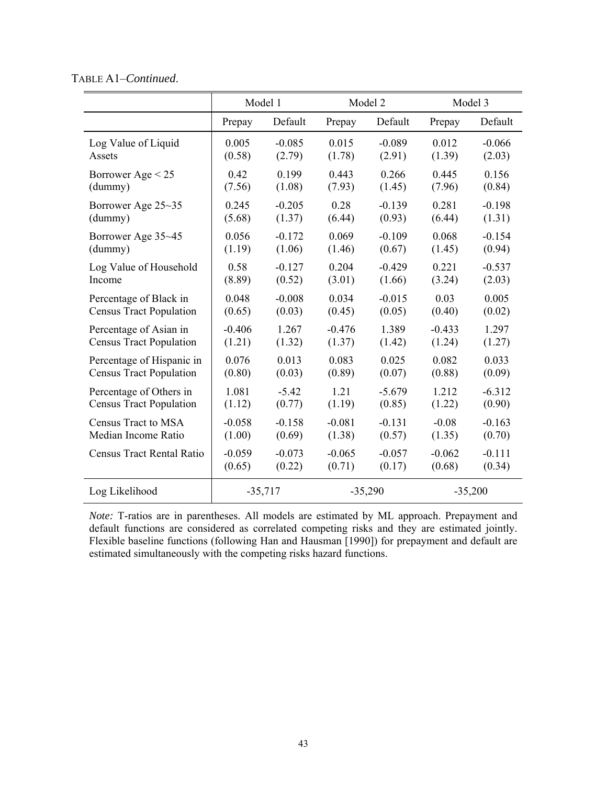|                                  |          | Model 1   |          | Model 2   |          | Model 3   |  |
|----------------------------------|----------|-----------|----------|-----------|----------|-----------|--|
|                                  | Prepay   | Default   | Prepay   | Default   | Prepay   | Default   |  |
| Log Value of Liquid              | 0.005    | $-0.085$  | 0.015    | $-0.089$  | 0.012    | $-0.066$  |  |
| Assets                           | (0.58)   | (2.79)    | (1.78)   | (2.91)    | (1.39)   | (2.03)    |  |
| Borrower Age $\leq$ 25           | 0.42     | 0.199     | 0.443    | 0.266     | 0.445    | 0.156     |  |
| (dummy)                          | (7.56)   | (1.08)    | (7.93)   | (1.45)    | (7.96)   | (0.84)    |  |
| Borrower Age 25~35               | 0.245    | $-0.205$  | 0.28     | $-0.139$  | 0.281    | $-0.198$  |  |
| (dummy)                          | (5.68)   | (1.37)    | (6.44)   | (0.93)    | (6.44)   | (1.31)    |  |
| Borrower Age 35~45               | 0.056    | $-0.172$  | 0.069    | $-0.109$  | 0.068    | $-0.154$  |  |
| (dummy)                          | (1.19)   | (1.06)    | (1.46)   | (0.67)    | (1.45)   | (0.94)    |  |
| Log Value of Household           | 0.58     | $-0.127$  | 0.204    | $-0.429$  | 0.221    | $-0.537$  |  |
| Income                           | (8.89)   | (0.52)    | (3.01)   | (1.66)    | (3.24)   | (2.03)    |  |
| Percentage of Black in           | 0.048    | $-0.008$  | 0.034    | $-0.015$  | 0.03     | 0.005     |  |
| <b>Census Tract Population</b>   | (0.65)   | (0.03)    | (0.45)   | (0.05)    | (0.40)   | (0.02)    |  |
| Percentage of Asian in           | $-0.406$ | 1.267     | $-0.476$ | 1.389     | $-0.433$ | 1.297     |  |
| <b>Census Tract Population</b>   | (1.21)   | (1.32)    | (1.37)   | (1.42)    | (1.24)   | (1.27)    |  |
| Percentage of Hispanic in        | 0.076    | 0.013     | 0.083    | 0.025     | 0.082    | 0.033     |  |
| <b>Census Tract Population</b>   | (0.80)   | (0.03)    | (0.89)   | (0.07)    | (0.88)   | (0.09)    |  |
| Percentage of Others in          | 1.081    | $-5.42$   | 1.21     | $-5.679$  | 1.212    | $-6.312$  |  |
| <b>Census Tract Population</b>   | (1.12)   | (0.77)    | (1.19)   | (0.85)    | (1.22)   | (0.90)    |  |
| <b>Census Tract to MSA</b>       | $-0.058$ | $-0.158$  | $-0.081$ | $-0.131$  | $-0.08$  | $-0.163$  |  |
| Median Income Ratio              | (1.00)   | (0.69)    | (1.38)   | (0.57)    | (1.35)   | (0.70)    |  |
| <b>Census Tract Rental Ratio</b> | $-0.059$ | $-0.073$  | $-0.065$ | $-0.057$  | $-0.062$ | $-0.111$  |  |
|                                  | (0.65)   | (0.22)    | (0.71)   | (0.17)    | (0.68)   | (0.34)    |  |
| Log Likelihood                   |          | $-35,717$ |          | $-35,290$ |          | $-35,200$ |  |

TABLE A1–*Continued*.

*Note:* T-ratios are in parentheses. All models are estimated by ML approach. Prepayment and default functions are considered as correlated competing risks and they are estimated jointly. Flexible baseline functions (following Han and Hausman [1990]) for prepayment and default are estimated simultaneously with the competing risks hazard functions.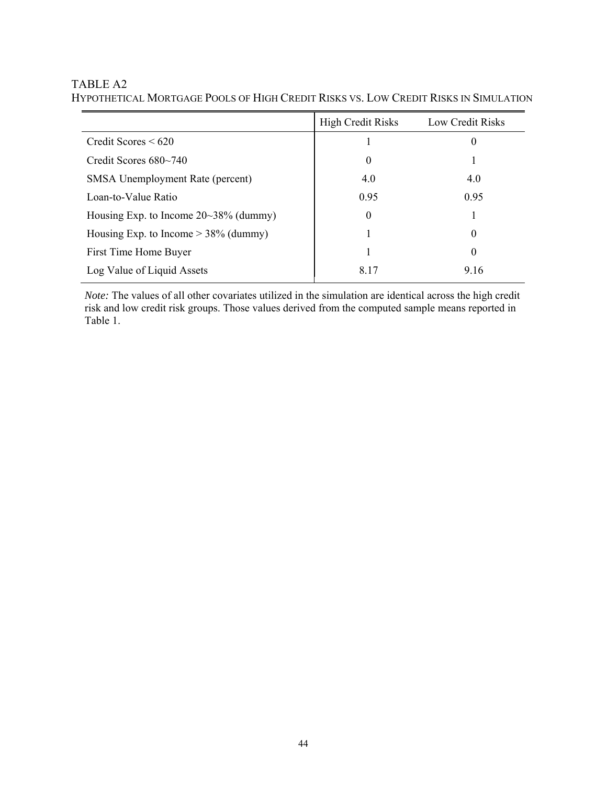## TABLE A2 HYPOTHETICAL MORTGAGE POOLS OF HIGH CREDIT RISKS VS. LOW CREDIT RISKS IN SIMULATION

|                                               | <b>High Credit Risks</b> | Low Credit Risks |
|-----------------------------------------------|--------------------------|------------------|
| Credit Scores $\leq 620$                      |                          | $\theta$         |
| Credit Scores $680~140$                       | $\bf{0}$                 |                  |
| <b>SMSA</b> Unemployment Rate (percent)       | 4.0                      | 4.0              |
| Loan-to-Value Ratio                           | 0.95                     | 0.95             |
| Housing Exp. to Income $20 \sim 38\%$ (dummy) | $\theta$                 |                  |
| Housing Exp. to Income $> 38\%$ (dummy)       |                          | $\theta$         |
| First Time Home Buyer                         |                          | 0                |
| Log Value of Liquid Assets                    | 8.17                     | 9.16             |

*Note:* The values of all other covariates utilized in the simulation are identical across the high credit risk and low credit risk groups. Those values derived from the computed sample means reported in Table 1.